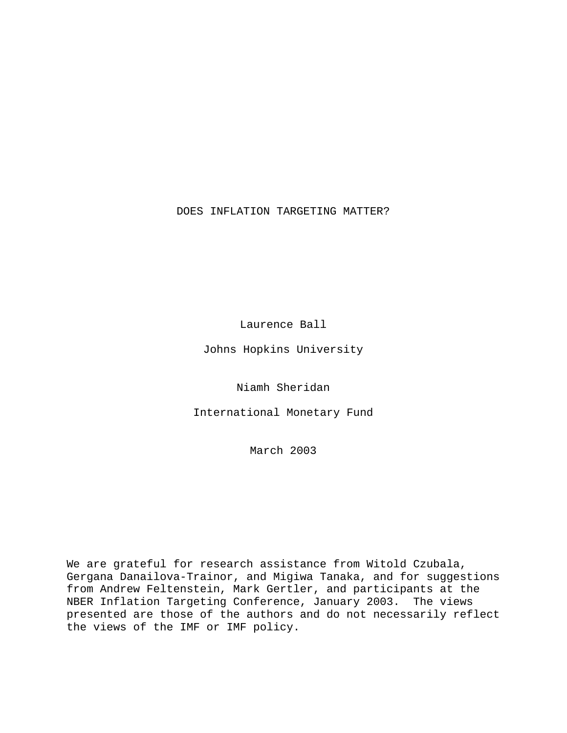## DOES INFLATION TARGETING MATTER?

Laurence Ball

Johns Hopkins University

Niamh Sheridan

International Monetary Fund

March 2003

We are grateful for research assistance from Witold Czubala, Gergana Danailova-Trainor, and Migiwa Tanaka, and for suggestions from Andrew Feltenstein, Mark Gertler, and participants at the NBER Inflation Targeting Conference, January 2003. The views presented are those of the authors and do not necessarily reflect the views of the IMF or IMF policy.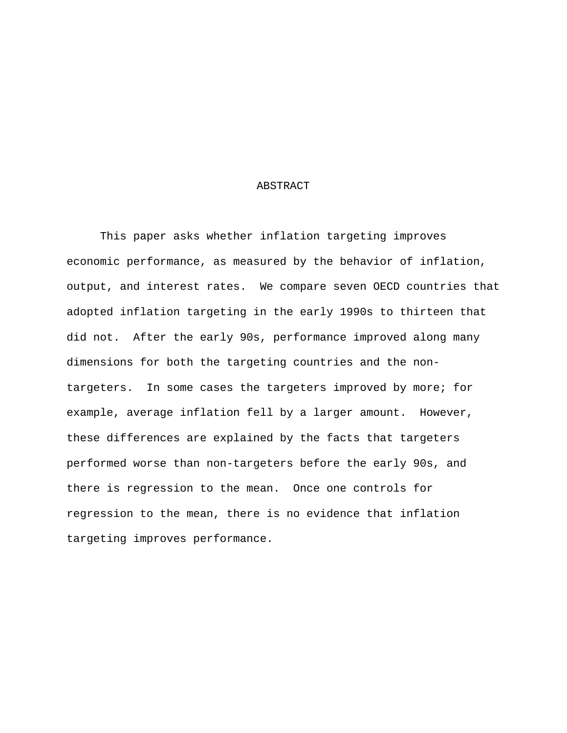### ABSTRACT

 This paper asks whether inflation targeting improves economic performance, as measured by the behavior of inflation, output, and interest rates. We compare seven OECD countries that adopted inflation targeting in the early 1990s to thirteen that did not. After the early 90s, performance improved along many dimensions for both the targeting countries and the nontargeters. In some cases the targeters improved by more; for example, average inflation fell by a larger amount. However, these differences are explained by the facts that targeters performed worse than non-targeters before the early 90s, and there is regression to the mean. Once one controls for regression to the mean, there is no evidence that inflation targeting improves performance.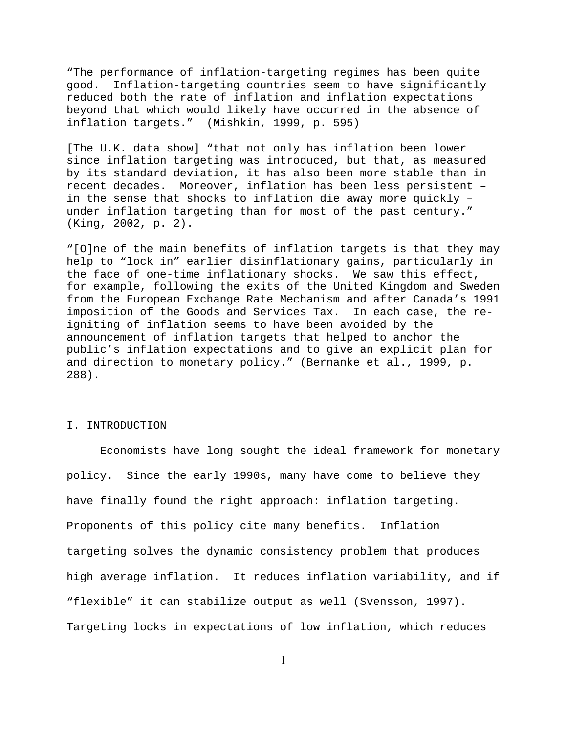"The performance of inflation-targeting regimes has been quite good. Inflation-targeting countries seem to have significantly reduced both the rate of inflation and inflation expectations beyond that which would likely have occurred in the absence of inflation targets." (Mishkin, 1999, p. 595)

[The U.K. data show] "that not only has inflation been lower since inflation targeting was introduced, but that, as measured by its standard deviation, it has also been more stable than in recent decades. Moreover, inflation has been less persistent – in the sense that shocks to inflation die away more quickly – under inflation targeting than for most of the past century." (King, 2002, p. 2).

"[O]ne of the main benefits of inflation targets is that they may help to "lock in" earlier disinflationary gains, particularly in the face of one-time inflationary shocks. We saw this effect, for example, following the exits of the United Kingdom and Sweden from the European Exchange Rate Mechanism and after Canada's 1991 imposition of the Goods and Services Tax. In each case, the reigniting of inflation seems to have been avoided by the announcement of inflation targets that helped to anchor the public's inflation expectations and to give an explicit plan for and direction to monetary policy." (Bernanke et al., 1999, p. 288).

#### I. INTRODUCTION

 Economists have long sought the ideal framework for monetary policy. Since the early 1990s, many have come to believe they have finally found the right approach: inflation targeting. Proponents of this policy cite many benefits. Inflation targeting solves the dynamic consistency problem that produces high average inflation. It reduces inflation variability, and if "flexible" it can stabilize output as well (Svensson, 1997). Targeting locks in expectations of low inflation, which reduces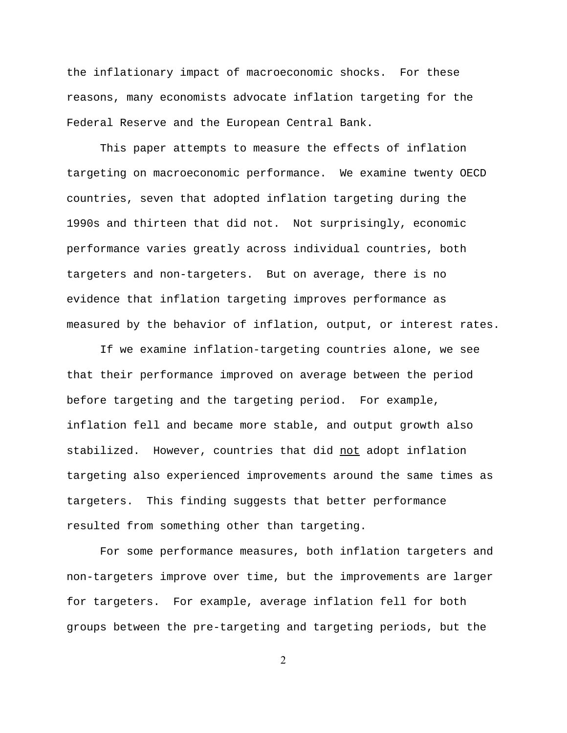the inflationary impact of macroeconomic shocks. For these reasons, many economists advocate inflation targeting for the Federal Reserve and the European Central Bank.

 This paper attempts to measure the effects of inflation targeting on macroeconomic performance. We examine twenty OECD countries, seven that adopted inflation targeting during the 1990s and thirteen that did not. Not surprisingly, economic performance varies greatly across individual countries, both targeters and non-targeters. But on average, there is no evidence that inflation targeting improves performance as measured by the behavior of inflation, output, or interest rates.

 If we examine inflation-targeting countries alone, we see that their performance improved on average between the period before targeting and the targeting period. For example, inflation fell and became more stable, and output growth also stabilized. However, countries that did not adopt inflation targeting also experienced improvements around the same times as targeters. This finding suggests that better performance resulted from something other than targeting.

 For some performance measures, both inflation targeters and non-targeters improve over time, but the improvements are larger for targeters. For example, average inflation fell for both groups between the pre-targeting and targeting periods, but the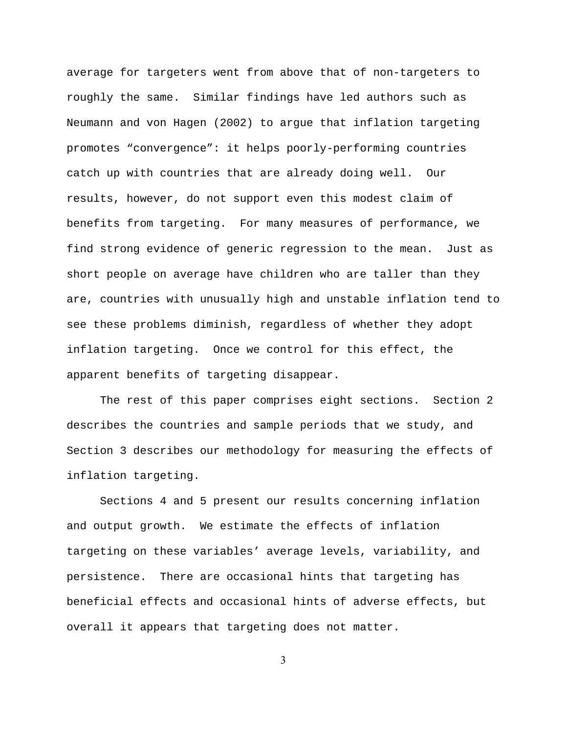average for targeters went from above that of non-targeters to roughly the same. Similar findings have led authors such as Neumann and von Hagen (2002) to argue that inflation targeting promotes "convergence": it helps poorly-performing countries catch up with countries that are already doing well. Our results, however, do not support even this modest claim of benefits from targeting. For many measures of performance, we find strong evidence of generic regression to the mean. Just as short people on average have children who are taller than they are, countries with unusually high and unstable inflation tend to see these problems diminish, regardless of whether they adopt inflation targeting. Once we control for this effect, the apparent benefits of targeting disappear.

 The rest of this paper comprises eight sections. Section 2 describes the countries and sample periods that we study, and Section 3 describes our methodology for measuring the effects of inflation targeting.

 Sections 4 and 5 present our results concerning inflation and output growth. We estimate the effects of inflation targeting on these variables' average levels, variability, and persistence. There are occasional hints that targeting has beneficial effects and occasional hints of adverse effects, but overall it appears that targeting does not matter.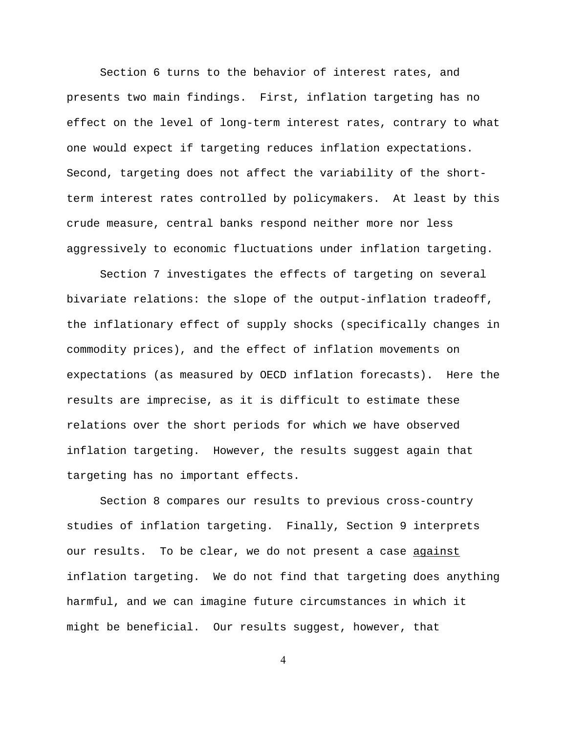Section 6 turns to the behavior of interest rates, and presents two main findings. First, inflation targeting has no effect on the level of long-term interest rates, contrary to what one would expect if targeting reduces inflation expectations. Second, targeting does not affect the variability of the shortterm interest rates controlled by policymakers. At least by this crude measure, central banks respond neither more nor less aggressively to economic fluctuations under inflation targeting.

 Section 7 investigates the effects of targeting on several bivariate relations: the slope of the output-inflation tradeoff, the inflationary effect of supply shocks (specifically changes in commodity prices), and the effect of inflation movements on expectations (as measured by OECD inflation forecasts). Here the results are imprecise, as it is difficult to estimate these relations over the short periods for which we have observed inflation targeting. However, the results suggest again that targeting has no important effects.

 Section 8 compares our results to previous cross-country studies of inflation targeting. Finally, Section 9 interprets our results. To be clear, we do not present a case against inflation targeting. We do not find that targeting does anything harmful, and we can imagine future circumstances in which it might be beneficial. Our results suggest, however, that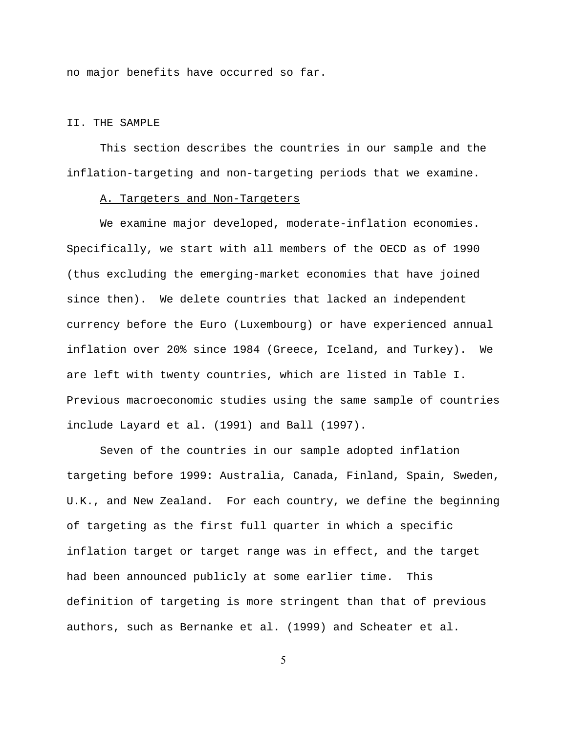no major benefits have occurred so far.

### II. THE SAMPLE

 This section describes the countries in our sample and the inflation-targeting and non-targeting periods that we examine.

#### A. Targeters and Non-Targeters

 We examine major developed, moderate-inflation economies. Specifically, we start with all members of the OECD as of 1990 (thus excluding the emerging-market economies that have joined since then). We delete countries that lacked an independent currency before the Euro (Luxembourg) or have experienced annual inflation over 20% since 1984 (Greece, Iceland, and Turkey). We are left with twenty countries, which are listed in Table I. Previous macroeconomic studies using the same sample of countries include Layard et al. (1991) and Ball (1997).

 Seven of the countries in our sample adopted inflation targeting before 1999: Australia, Canada, Finland, Spain, Sweden, U.K., and New Zealand. For each country, we define the beginning of targeting as the first full quarter in which a specific inflation target or target range was in effect, and the target had been announced publicly at some earlier time. This definition of targeting is more stringent than that of previous authors, such as Bernanke et al. (1999) and Scheater et al.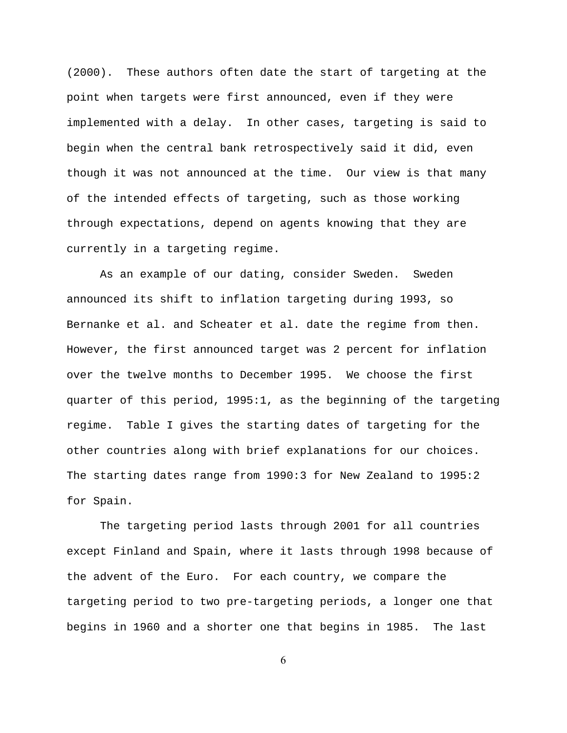(2000). These authors often date the start of targeting at the point when targets were first announced, even if they were implemented with a delay. In other cases, targeting is said to begin when the central bank retrospectively said it did, even though it was not announced at the time. Our view is that many of the intended effects of targeting, such as those working through expectations, depend on agents knowing that they are currently in a targeting regime.

 As an example of our dating, consider Sweden. Sweden announced its shift to inflation targeting during 1993, so Bernanke et al. and Scheater et al. date the regime from then. However, the first announced target was 2 percent for inflation over the twelve months to December 1995. We choose the first quarter of this period, 1995:1, as the beginning of the targeting regime. Table I gives the starting dates of targeting for the other countries along with brief explanations for our choices. The starting dates range from 1990:3 for New Zealand to 1995:2 for Spain.

 The targeting period lasts through 2001 for all countries except Finland and Spain, where it lasts through 1998 because of the advent of the Euro. For each country, we compare the targeting period to two pre-targeting periods, a longer one that begins in 1960 and a shorter one that begins in 1985. The last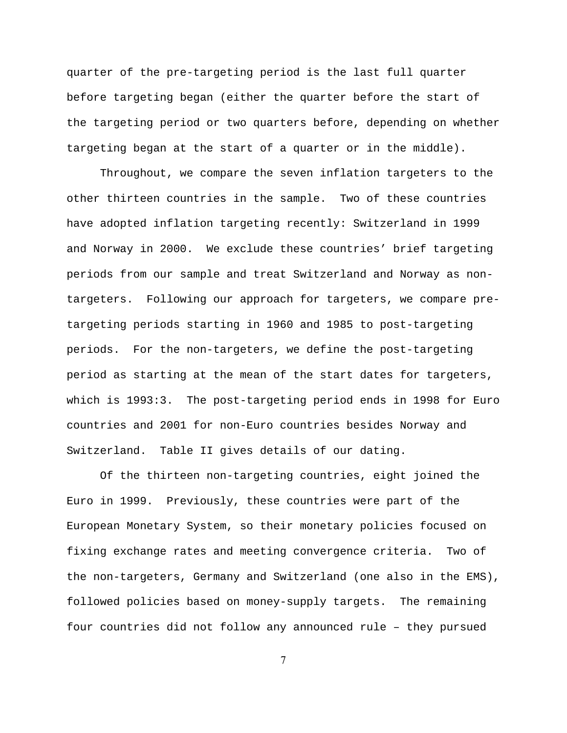quarter of the pre-targeting period is the last full quarter before targeting began (either the quarter before the start of the targeting period or two quarters before, depending on whether targeting began at the start of a quarter or in the middle).

 Throughout, we compare the seven inflation targeters to the other thirteen countries in the sample. Two of these countries have adopted inflation targeting recently: Switzerland in 1999 and Norway in 2000. We exclude these countries' brief targeting periods from our sample and treat Switzerland and Norway as nontargeters. Following our approach for targeters, we compare pretargeting periods starting in 1960 and 1985 to post-targeting periods. For the non-targeters, we define the post-targeting period as starting at the mean of the start dates for targeters, which is 1993:3. The post-targeting period ends in 1998 for Euro countries and 2001 for non-Euro countries besides Norway and Switzerland. Table II gives details of our dating.

 Of the thirteen non-targeting countries, eight joined the Euro in 1999. Previously, these countries were part of the European Monetary System, so their monetary policies focused on fixing exchange rates and meeting convergence criteria. Two of the non-targeters, Germany and Switzerland (one also in the EMS), followed policies based on money-supply targets. The remaining four countries did not follow any announced rule – they pursued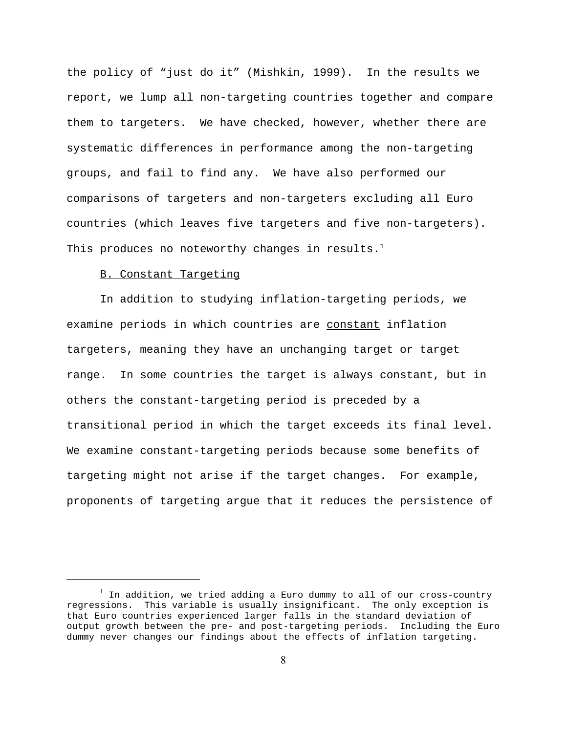the policy of "just do it" (Mishkin, 1999). In the results we report, we lump all non-targeting countries together and compare them to targeters. We have checked, however, whether there are systematic differences in performance among the non-targeting groups, and fail to find any. We have also performed our comparisons of targeters and non-targeters excluding all Euro countries (which leaves five targeters and five non-targeters). This produces no noteworthy changes in results. $<sup>1</sup>$ </sup>

## B. Constant Targeting

 In addition to studying inflation-targeting periods, we examine periods in which countries are constant inflation targeters, meaning they have an unchanging target or target range. In some countries the target is always constant, but in others the constant-targeting period is preceded by a transitional period in which the target exceeds its final level. We examine constant-targeting periods because some benefits of targeting might not arise if the target changes. For example, proponents of targeting argue that it reduces the persistence of

 $^{\rm l}$  In addition, we tried adding a Euro dummy to all of our cross-country regressions. This variable is usually insignificant. The only exception is that Euro countries experienced larger falls in the standard deviation of output growth between the pre- and post-targeting periods. Including the Euro dummy never changes our findings about the effects of inflation targeting.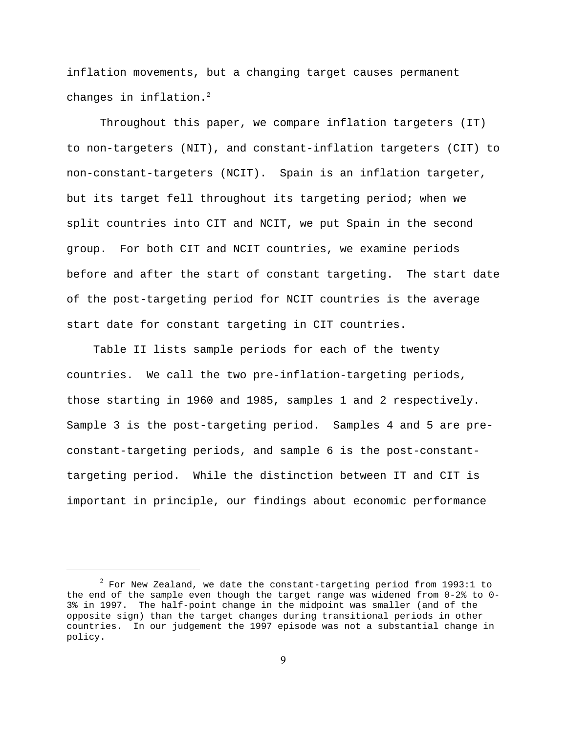inflation movements, but a changing target causes permanent changes in inflation.<sup>2</sup>

 Throughout this paper, we compare inflation targeters (IT) to non-targeters (NIT), and constant-inflation targeters (CIT) to non-constant-targeters (NCIT). Spain is an inflation targeter, but its target fell throughout its targeting period; when we split countries into CIT and NCIT, we put Spain in the second group. For both CIT and NCIT countries, we examine periods before and after the start of constant targeting. The start date of the post-targeting period for NCIT countries is the average start date for constant targeting in CIT countries.

 Table II lists sample periods for each of the twenty countries. We call the two pre-inflation-targeting periods, those starting in 1960 and 1985, samples 1 and 2 respectively. Sample 3 is the post-targeting period. Samples 4 and 5 are preconstant-targeting periods, and sample 6 is the post-constanttargeting period. While the distinction between IT and CIT is important in principle, our findings about economic performance

 $^2$  For New Zealand, we date the constant-targeting period from 1993:1 to the end of the sample even though the target range was widened from 0-2% to 0- 3% in 1997. The half-point change in the midpoint was smaller (and of the opposite sign) than the target changes during transitional periods in other countries. In our judgement the 1997 episode was not a substantial change in policy.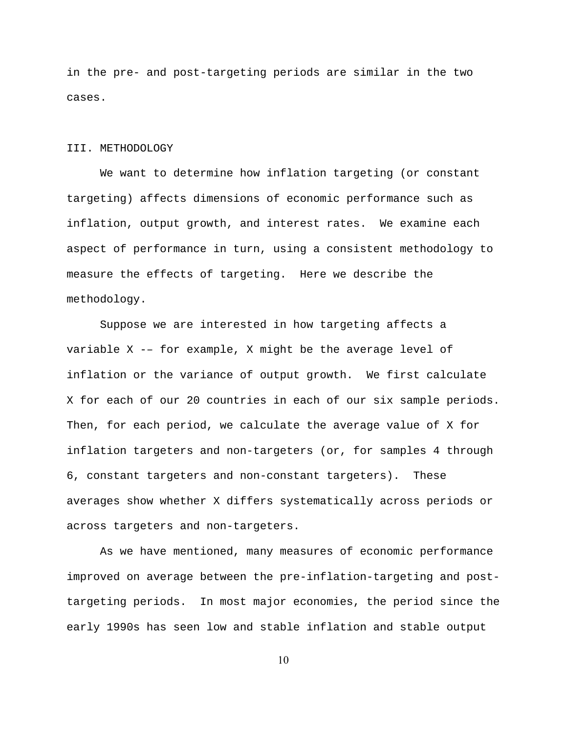in the pre- and post-targeting periods are similar in the two cases.

#### III. METHODOLOGY

 We want to determine how inflation targeting (or constant targeting) affects dimensions of economic performance such as inflation, output growth, and interest rates. We examine each aspect of performance in turn, using a consistent methodology to measure the effects of targeting. Here we describe the methodology.

 Suppose we are interested in how targeting affects a variable X -– for example, X might be the average level of inflation or the variance of output growth. We first calculate X for each of our 20 countries in each of our six sample periods. Then, for each period, we calculate the average value of X for inflation targeters and non-targeters (or, for samples 4 through 6, constant targeters and non-constant targeters). These averages show whether X differs systematically across periods or across targeters and non-targeters.

 As we have mentioned, many measures of economic performance improved on average between the pre-inflation-targeting and posttargeting periods. In most major economies, the period since the early 1990s has seen low and stable inflation and stable output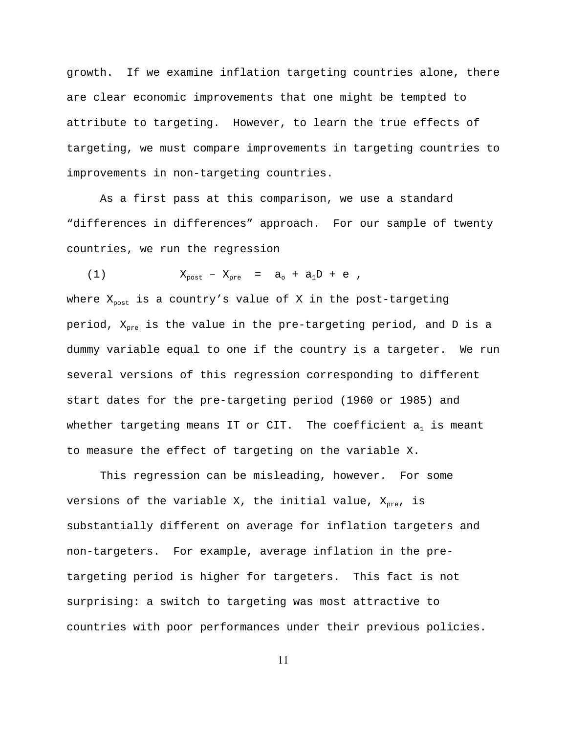growth. If we examine inflation targeting countries alone, there are clear economic improvements that one might be tempted to attribute to targeting. However, to learn the true effects of targeting, we must compare improvements in targeting countries to improvements in non-targeting countries.

 As a first pass at this comparison, we use a standard "differences in differences" approach. For our sample of twenty countries, we run the regression

(1)  $X_{\text{post}} - X_{\text{pre}} = a_{0} + a_{1}D + e$ , where  $X_{post}$  is a country's value of X in the post-targeting period,  $X_{pre}$  is the value in the pre-targeting period, and D is a dummy variable equal to one if the country is a targeter. We run several versions of this regression corresponding to different start dates for the pre-targeting period (1960 or 1985) and whether targeting means IT or CIT. The coefficient  $a_1$  is meant to measure the effect of targeting on the variable X.

 This regression can be misleading, however. For some versions of the variable X, the initial value,  $X_{pre}$ , is substantially different on average for inflation targeters and non-targeters. For example, average inflation in the pretargeting period is higher for targeters. This fact is not surprising: a switch to targeting was most attractive to countries with poor performances under their previous policies.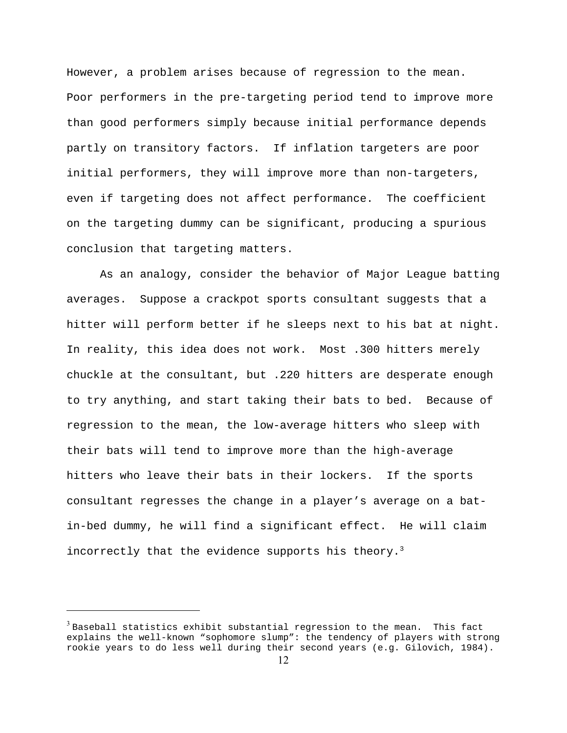However, a problem arises because of regression to the mean. Poor performers in the pre-targeting period tend to improve more than good performers simply because initial performance depends partly on transitory factors. If inflation targeters are poor initial performers, they will improve more than non-targeters, even if targeting does not affect performance. The coefficient on the targeting dummy can be significant, producing a spurious conclusion that targeting matters.

 As an analogy, consider the behavior of Major League batting averages. Suppose a crackpot sports consultant suggests that a hitter will perform better if he sleeps next to his bat at night. In reality, this idea does not work. Most .300 hitters merely chuckle at the consultant, but .220 hitters are desperate enough to try anything, and start taking their bats to bed. Because of regression to the mean, the low-average hitters who sleep with their bats will tend to improve more than the high-average hitters who leave their bats in their lockers. If the sports consultant regresses the change in a player's average on a batin-bed dummy, he will find a significant effect. He will claim incorrectly that the evidence supports his theory.<sup>3</sup>

<sup>3</sup> Baseball statistics exhibit substantial regression to the mean. This fact explains the well-known "sophomore slump": the tendency of players with strong rookie years to do less well during their second years (e.g. Gilovich, 1984).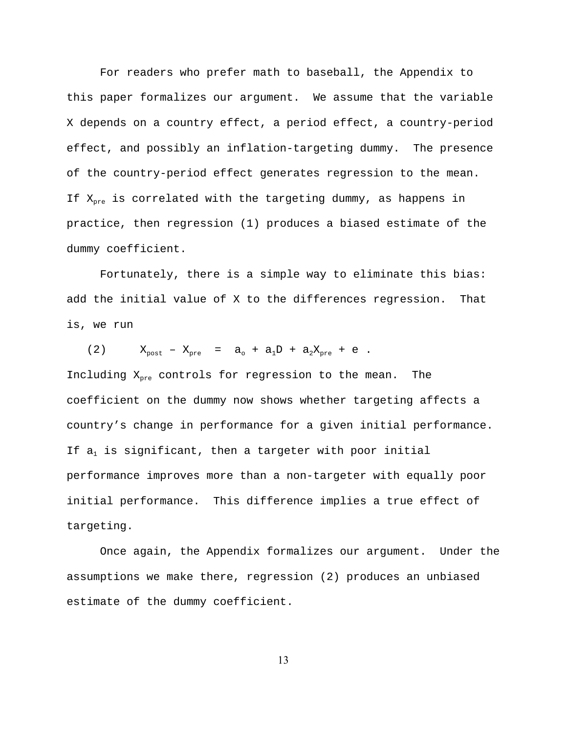For readers who prefer math to baseball, the Appendix to this paper formalizes our argument. We assume that the variable X depends on a country effect, a period effect, a country-period effect, and possibly an inflation-targeting dummy. The presence of the country-period effect generates regression to the mean. If  $X_{pre}$  is correlated with the targeting dummy, as happens in practice, then regression (1) produces a biased estimate of the dummy coefficient.

 Fortunately, there is a simple way to eliminate this bias: add the initial value of X to the differences regression. That is, we run

(2)  $X_{\text{post}} - X_{\text{pre}} = a_{\text{o}} + a_{1}D + a_{2}X_{\text{pre}} + e$ . Including  $X_{pre}$  controls for regression to the mean. The coefficient on the dummy now shows whether targeting affects a country's change in performance for a given initial performance. If  $a_1$  is significant, then a targeter with poor initial performance improves more than a non-targeter with equally poor initial performance. This difference implies a true effect of targeting.

 Once again, the Appendix formalizes our argument. Under the assumptions we make there, regression (2) produces an unbiased estimate of the dummy coefficient.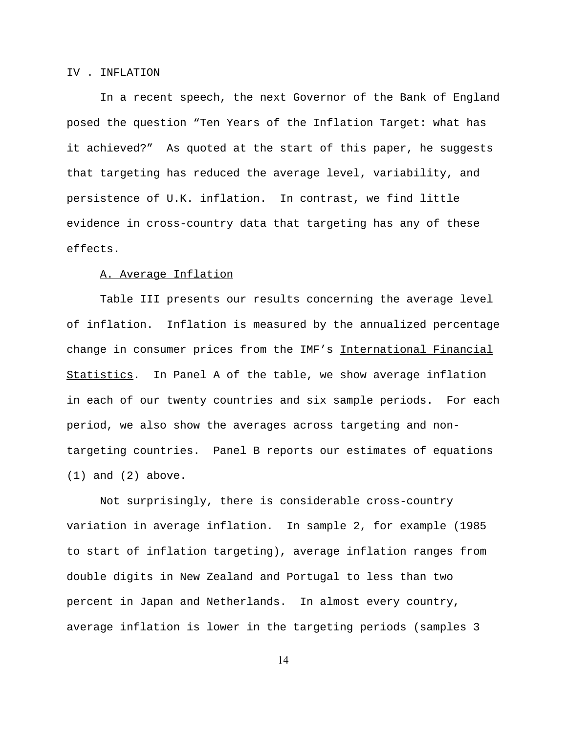### IV . INFLATION

 In a recent speech, the next Governor of the Bank of England posed the question "Ten Years of the Inflation Target: what has it achieved?" As quoted at the start of this paper, he suggests that targeting has reduced the average level, variability, and persistence of U.K. inflation. In contrast, we find little evidence in cross-country data that targeting has any of these effects.

#### A. Average Inflation

 Table III presents our results concerning the average level of inflation. Inflation is measured by the annualized percentage change in consumer prices from the IMF's International Financial Statistics. In Panel A of the table, we show average inflation in each of our twenty countries and six sample periods. For each period, we also show the averages across targeting and nontargeting countries. Panel B reports our estimates of equations (1) and (2) above.

 Not surprisingly, there is considerable cross-country variation in average inflation. In sample 2, for example (1985 to start of inflation targeting), average inflation ranges from double digits in New Zealand and Portugal to less than two percent in Japan and Netherlands. In almost every country, average inflation is lower in the targeting periods (samples 3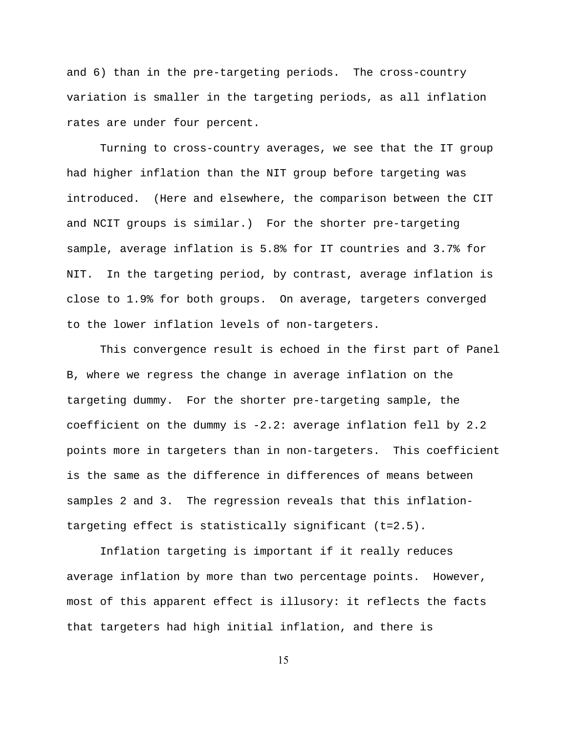and 6) than in the pre-targeting periods. The cross-country variation is smaller in the targeting periods, as all inflation rates are under four percent.

 Turning to cross-country averages, we see that the IT group had higher inflation than the NIT group before targeting was introduced. (Here and elsewhere, the comparison between the CIT and NCIT groups is similar.) For the shorter pre-targeting sample, average inflation is 5.8% for IT countries and 3.7% for NIT. In the targeting period, by contrast, average inflation is close to 1.9% for both groups. On average, targeters converged to the lower inflation levels of non-targeters.

 This convergence result is echoed in the first part of Panel B, where we regress the change in average inflation on the targeting dummy. For the shorter pre-targeting sample, the coefficient on the dummy is -2.2: average inflation fell by 2.2 points more in targeters than in non-targeters. This coefficient is the same as the difference in differences of means between samples 2 and 3. The regression reveals that this inflationtargeting effect is statistically significant (t=2.5).

 Inflation targeting is important if it really reduces average inflation by more than two percentage points. However, most of this apparent effect is illusory: it reflects the facts that targeters had high initial inflation, and there is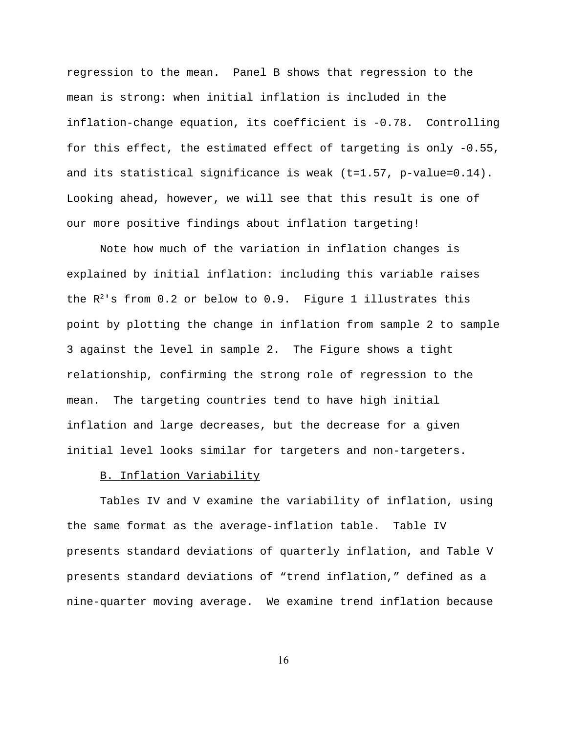regression to the mean. Panel B shows that regression to the mean is strong: when initial inflation is included in the inflation-change equation, its coefficient is -0.78. Controlling for this effect, the estimated effect of targeting is only -0.55, and its statistical significance is weak  $(t=1.57, p-value=0.14)$ . Looking ahead, however, we will see that this result is one of our more positive findings about inflation targeting!

 Note how much of the variation in inflation changes is explained by initial inflation: including this variable raises the  $R^2$ 's from 0.2 or below to 0.9. Figure 1 illustrates this point by plotting the change in inflation from sample 2 to sample 3 against the level in sample 2. The Figure shows a tight relationship, confirming the strong role of regression to the mean. The targeting countries tend to have high initial inflation and large decreases, but the decrease for a given initial level looks similar for targeters and non-targeters.

#### B. Inflation Variability

 Tables IV and V examine the variability of inflation, using the same format as the average-inflation table. Table IV presents standard deviations of quarterly inflation, and Table V presents standard deviations of "trend inflation," defined as a nine-quarter moving average. We examine trend inflation because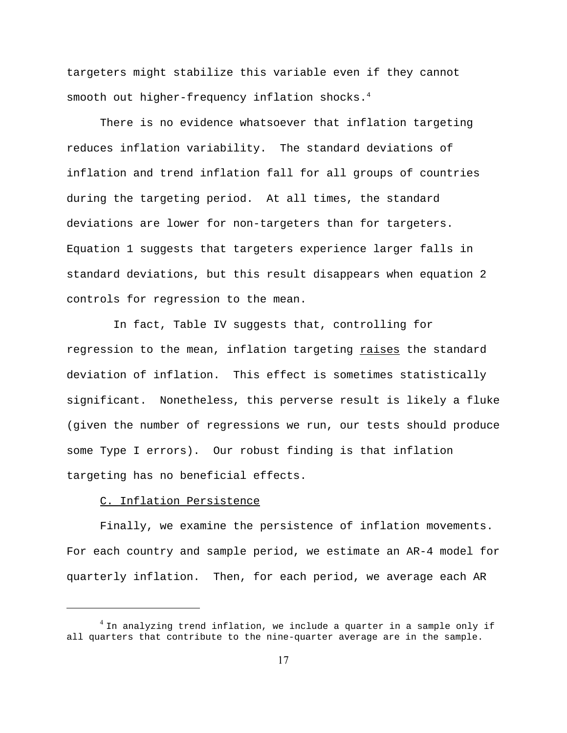targeters might stabilize this variable even if they cannot smooth out higher-frequency inflation shocks.<sup>4</sup>

 There is no evidence whatsoever that inflation targeting reduces inflation variability. The standard deviations of inflation and trend inflation fall for all groups of countries during the targeting period. At all times, the standard deviations are lower for non-targeters than for targeters. Equation 1 suggests that targeters experience larger falls in standard deviations, but this result disappears when equation 2 controls for regression to the mean.

 In fact, Table IV suggests that, controlling for regression to the mean, inflation targeting raises the standard deviation of inflation. This effect is sometimes statistically significant. Nonetheless, this perverse result is likely a fluke (given the number of regressions we run, our tests should produce some Type I errors). Our robust finding is that inflation targeting has no beneficial effects.

### C. Inflation Persistence

 Finally, we examine the persistence of inflation movements. For each country and sample period, we estimate an AR-4 model for quarterly inflation. Then, for each period, we average each AR

 $4$  In analyzing trend inflation, we include a quarter in a sample only if all quarters that contribute to the nine-quarter average are in the sample.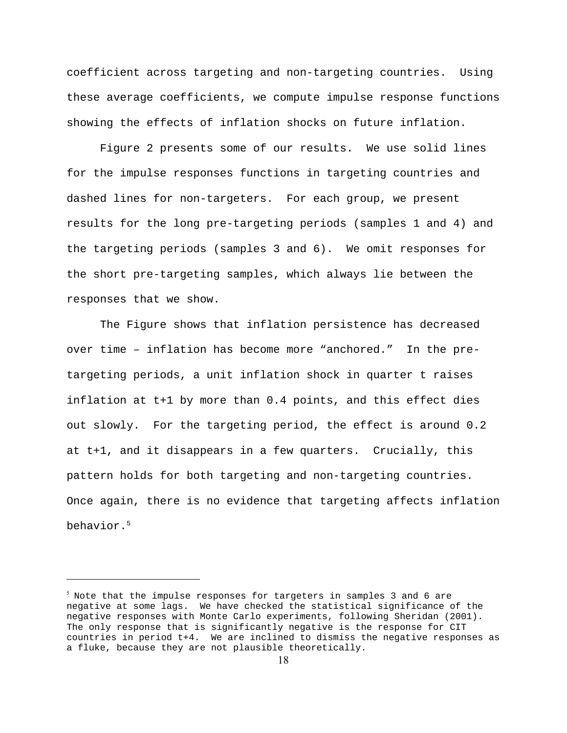coefficient across targeting and non-targeting countries. Using these average coefficients, we compute impulse response functions showing the effects of inflation shocks on future inflation.

 Figure 2 presents some of our results. We use solid lines for the impulse responses functions in targeting countries and dashed lines for non-targeters. For each group, we present results for the long pre-targeting periods (samples 1 and 4) and the targeting periods (samples 3 and 6). We omit responses for the short pre-targeting samples, which always lie between the responses that we show.

 The Figure shows that inflation persistence has decreased over time – inflation has become more "anchored." In the pretargeting periods, a unit inflation shock in quarter t raises inflation at t+1 by more than 0.4 points, and this effect dies out slowly. For the targeting period, the effect is around 0.2 at t+1, and it disappears in a few quarters. Crucially, this pattern holds for both targeting and non-targeting countries. Once again, there is no evidence that targeting affects inflation behavior.5

 $^5$  Note that the impulse responses for targeters in samples 3 and 6 are negative at some lags. We have checked the statistical significance of the negative responses with Monte Carlo experiments, following Sheridan (2001). The only response that is significantly negative is the response for CIT countries in period t+4. We are inclined to dismiss the negative responses as a fluke, because they are not plausible theoretically.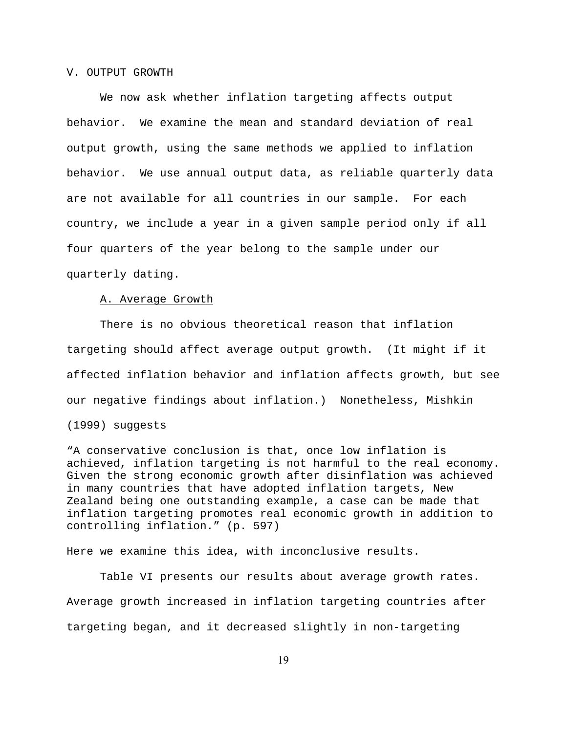#### V. OUTPUT GROWTH

 We now ask whether inflation targeting affects output behavior. We examine the mean and standard deviation of real output growth, using the same methods we applied to inflation behavior. We use annual output data, as reliable quarterly data are not available for all countries in our sample. For each country, we include a year in a given sample period only if all four quarters of the year belong to the sample under our quarterly dating.

### A. Average Growth

 There is no obvious theoretical reason that inflation targeting should affect average output growth. (It might if it affected inflation behavior and inflation affects growth, but see our negative findings about inflation.) Nonetheless, Mishkin

(1999) suggests

"A conservative conclusion is that, once low inflation is achieved, inflation targeting is not harmful to the real economy. Given the strong economic growth after disinflation was achieved in many countries that have adopted inflation targets, New Zealand being one outstanding example, a case can be made that inflation targeting promotes real economic growth in addition to controlling inflation." (p. 597)

Here we examine this idea, with inconclusive results.

 Table VI presents our results about average growth rates. Average growth increased in inflation targeting countries after targeting began, and it decreased slightly in non-targeting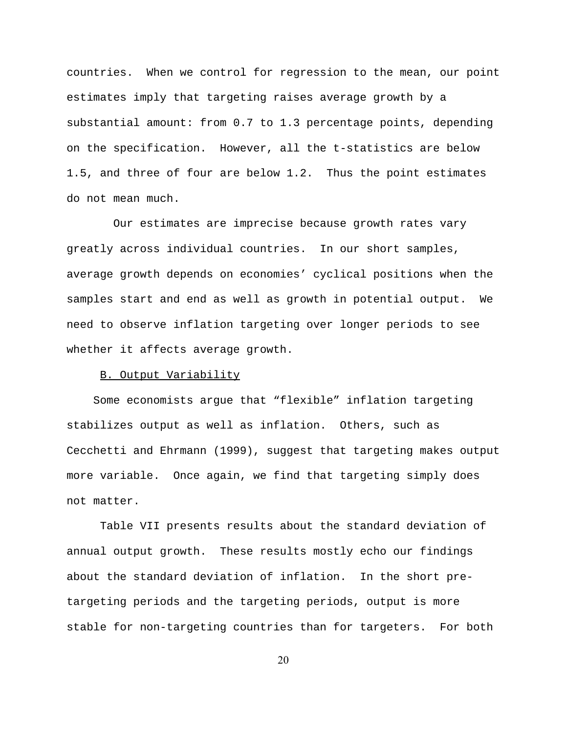countries. When we control for regression to the mean, our point estimates imply that targeting raises average growth by a substantial amount: from 0.7 to 1.3 percentage points, depending on the specification. However, all the t-statistics are below 1.5, and three of four are below 1.2. Thus the point estimates do not mean much.

 Our estimates are imprecise because growth rates vary greatly across individual countries. In our short samples, average growth depends on economies' cyclical positions when the samples start and end as well as growth in potential output. We need to observe inflation targeting over longer periods to see whether it affects average growth.

### B. Output Variability

 Some economists argue that "flexible" inflation targeting stabilizes output as well as inflation. Others, such as Cecchetti and Ehrmann (1999), suggest that targeting makes output more variable. Once again, we find that targeting simply does not matter.

 Table VII presents results about the standard deviation of annual output growth. These results mostly echo our findings about the standard deviation of inflation. In the short pretargeting periods and the targeting periods, output is more stable for non-targeting countries than for targeters. For both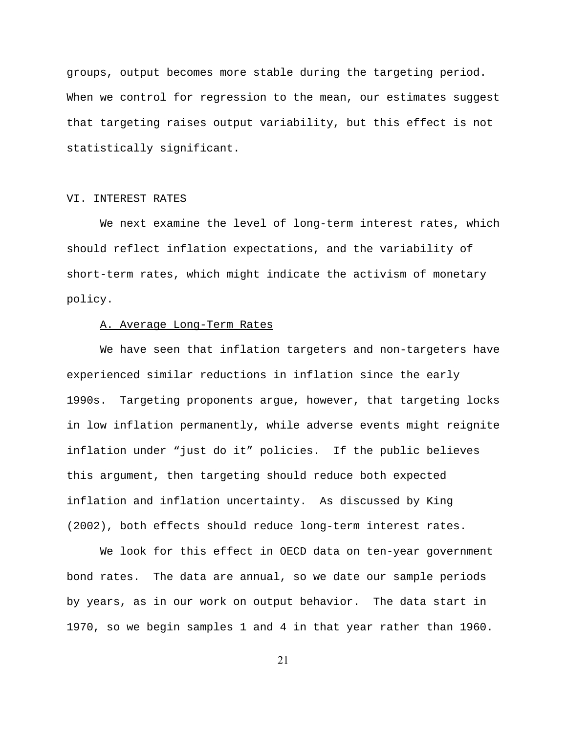groups, output becomes more stable during the targeting period. When we control for regression to the mean, our estimates suggest that targeting raises output variability, but this effect is not statistically significant.

### VI. INTEREST RATES

 We next examine the level of long-term interest rates, which should reflect inflation expectations, and the variability of short-term rates, which might indicate the activism of monetary policy.

### A. Average Long-Term Rates

 We have seen that inflation targeters and non-targeters have experienced similar reductions in inflation since the early 1990s. Targeting proponents argue, however, that targeting locks in low inflation permanently, while adverse events might reignite inflation under "just do it" policies. If the public believes this argument, then targeting should reduce both expected inflation and inflation uncertainty. As discussed by King (2002), both effects should reduce long-term interest rates.

We look for this effect in OECD data on ten-year government bond rates. The data are annual, so we date our sample periods by years, as in our work on output behavior. The data start in 1970, so we begin samples 1 and 4 in that year rather than 1960.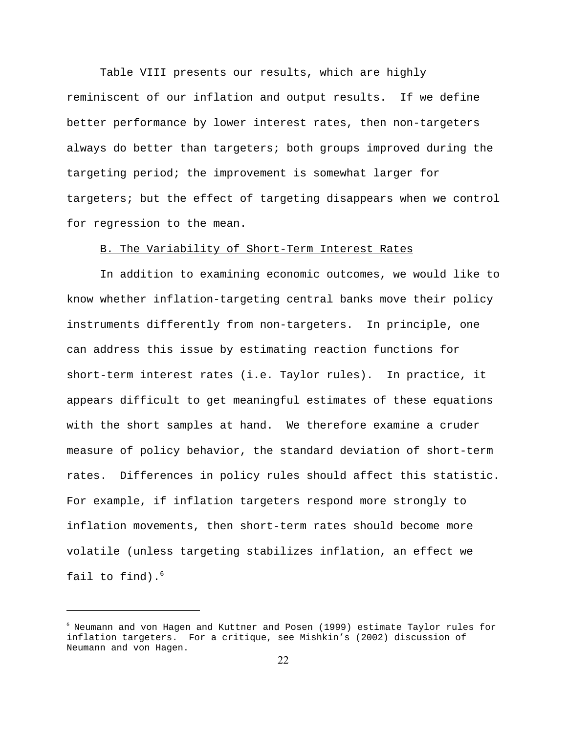Table VIII presents our results, which are highly reminiscent of our inflation and output results. If we define better performance by lower interest rates, then non-targeters always do better than targeters; both groups improved during the targeting period; the improvement is somewhat larger for targeters; but the effect of targeting disappears when we control for regression to the mean.

## B. The Variability of Short-Term Interest Rates

 In addition to examining economic outcomes, we would like to know whether inflation-targeting central banks move their policy instruments differently from non-targeters. In principle, one can address this issue by estimating reaction functions for short-term interest rates (i.e. Taylor rules). In practice, it appears difficult to get meaningful estimates of these equations with the short samples at hand. We therefore examine a cruder measure of policy behavior, the standard deviation of short-term rates. Differences in policy rules should affect this statistic. For example, if inflation targeters respond more strongly to inflation movements, then short-term rates should become more volatile (unless targeting stabilizes inflation, an effect we fail to find). $6$ 

 $^6$  Neumann and von Hagen and Kuttner and Posen (1999) estimate Taylor rules for inflation targeters. For a critique, see Mishkin's (2002) discussion of Neumann and von Hagen.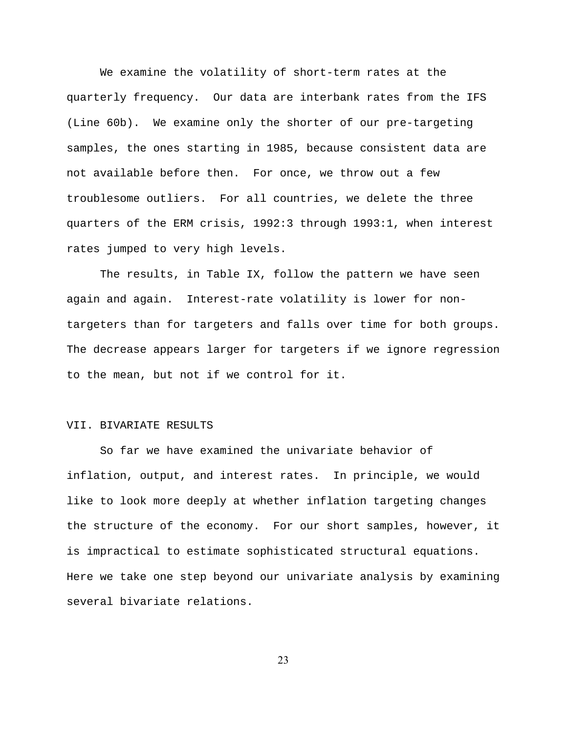We examine the volatility of short-term rates at the quarterly frequency. Our data are interbank rates from the IFS (Line 60b). We examine only the shorter of our pre-targeting samples, the ones starting in 1985, because consistent data are not available before then. For once, we throw out a few troublesome outliers. For all countries, we delete the three quarters of the ERM crisis, 1992:3 through 1993:1, when interest rates jumped to very high levels.

 The results, in Table IX, follow the pattern we have seen again and again. Interest-rate volatility is lower for nontargeters than for targeters and falls over time for both groups. The decrease appears larger for targeters if we ignore regression to the mean, but not if we control for it.

### VII. BIVARIATE RESULTS

 So far we have examined the univariate behavior of inflation, output, and interest rates. In principle, we would like to look more deeply at whether inflation targeting changes the structure of the economy. For our short samples, however, it is impractical to estimate sophisticated structural equations. Here we take one step beyond our univariate analysis by examining several bivariate relations.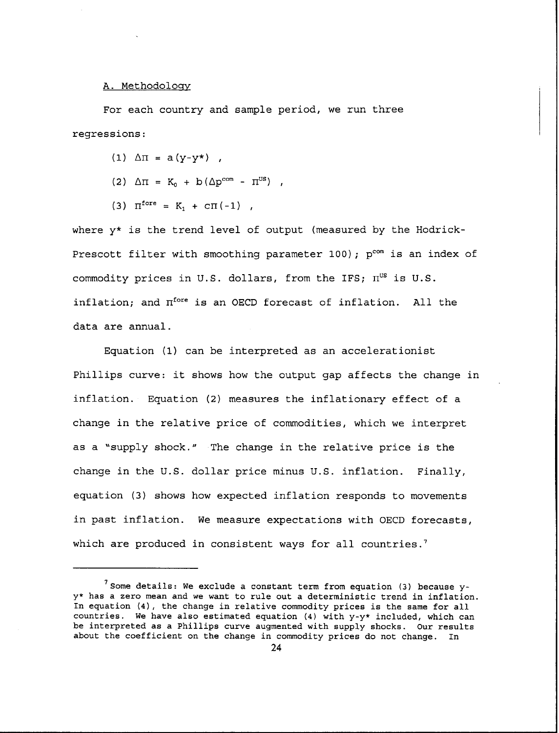#### A. Methodology

For each country and sample period, we run three regressions:

- $(1)$   $\Delta \Pi = a(y-y*)$ ,
- (2)  $\Delta \Pi = K_0 + b (\Delta p^{\text{com}} \Pi^{\text{US}})$ ,
- (3)  $\Pi^{\text{fore}} = K_1 + \text{CT}(-1)$ ,

where y\* is the trend level of output (measured by the Hodrick-Prescott filter with smoothing parameter 100); p<sup>com</sup> is an index of commodity prices in U.S. dollars, from the IFS;  $\Pi^{US}$  is U.S. inflation; and  $\Pi^{\text{fore}}$  is an OECD forecast of inflation. All the data are annual.

Equation (1) can be interpreted as an accelerationist Phillips curve: it shows how the output gap affects the change in inflation. Equation (2) measures the inflationary effect of a change in the relative price of commodities, which we interpret as a "supply shock." The change in the relative price is the change in the U.S. dollar price minus U.S. inflation. Finally, equation (3) shows how expected inflation responds to movements in past inflation. We measure expectations with OECD forecasts, which are produced in consistent ways for all countries.'

 $^7$  Some details: We exclude a constant term from equation (3) because yy\* has a zero mean and we want to rule out a deterministic trend in inflation. In equation (4), the change in relative commodity prices is the same for all countries. We have also estimated equation (4) with y-y\* included, which can be interpreted as a Phillips curve augmented with supply shocks. Our results about the coefficient on the change in commodity prices do not change. In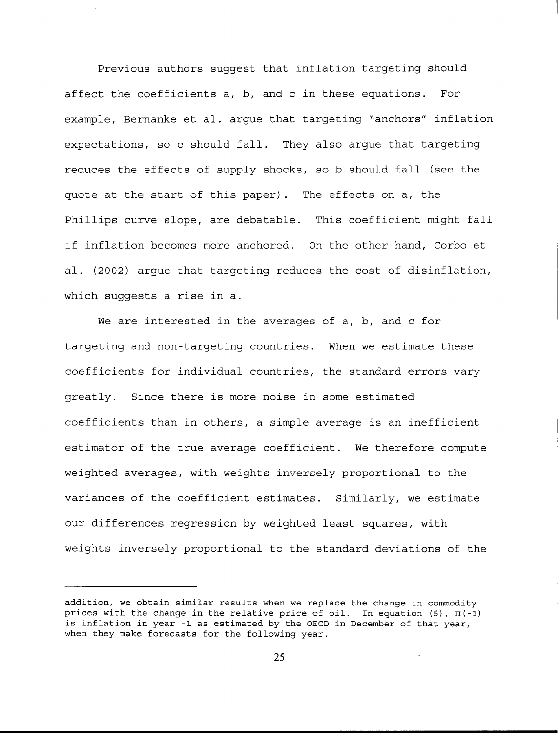Previous authors suggest that inflation targeting should affect the coefficients a, b, and c in these equations. For example, Bernanke et al. arque that targeting "anchors" inflation expectations, so c should fall. They also arque that targeting reduces the effects of supply shocks, so b should fall (see the quote at the start of this paper). The effects on a, the Phillips curve slope, are debatable. This coefficient might fall if inflation becomes more anchored. On the other hand, Corbo et al. (2002) argue that targeting reduces the cost of disinflation, which suggests a rise in a.

We are interested in the averages of a, b, and c for targeting and non-targeting countries. When we estimate these coefficients for individual countries, the standard errors vary greatly. Since there is more noise in some estimated coefficients than in others, a simple average is an inefficient estimator of the true average coefficient. We therefore compute weighted averages, with weights inversely proportional to the variances of the coefficient estimates. Similarly, we estimate our differences regression by weighted least squares, with weights inversely proportional to the standard deviations of the

addition, we obtain similar results when we replace the change in commodity prices with the change in the relative price of oil. In equation (5),  $\Pi(-1)$ is inflation in year -1 as estimated by the OECD in December of that year, when they make forecasts for the following year.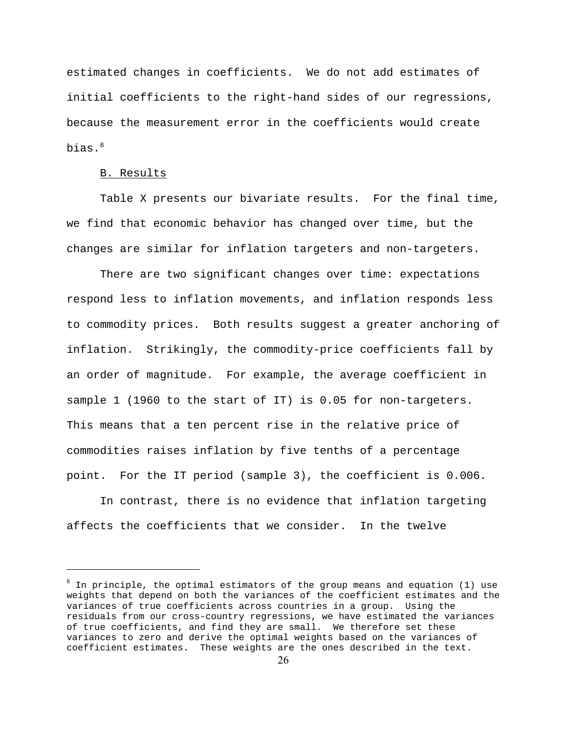estimated changes in coefficients. We do not add estimates of initial coefficients to the right-hand sides of our regressions, because the measurement error in the coefficients would create bias.<sup>8</sup>

#### B. Results

 Table X presents our bivariate results. For the final time, we find that economic behavior has changed over time, but the changes are similar for inflation targeters and non-targeters.

 There are two significant changes over time: expectations respond less to inflation movements, and inflation responds less to commodity prices. Both results suggest a greater anchoring of inflation. Strikingly, the commodity-price coefficients fall by an order of magnitude. For example, the average coefficient in sample 1 (1960 to the start of IT) is 0.05 for non-targeters. This means that a ten percent rise in the relative price of commodities raises inflation by five tenths of a percentage point. For the IT period (sample 3), the coefficient is 0.006.

 In contrast, there is no evidence that inflation targeting affects the coefficients that we consider. In the twelve

 $^8$  In principle, the optimal estimators of the group means and equation (1) use weights that depend on both the variances of the coefficient estimates and the variances of true coefficients across countries in a group. Using the residuals from our cross-country regressions, we have estimated the variances of true coefficients, and find they are small. We therefore set these variances to zero and derive the optimal weights based on the variances of coefficient estimates. These weights are the ones described in the text.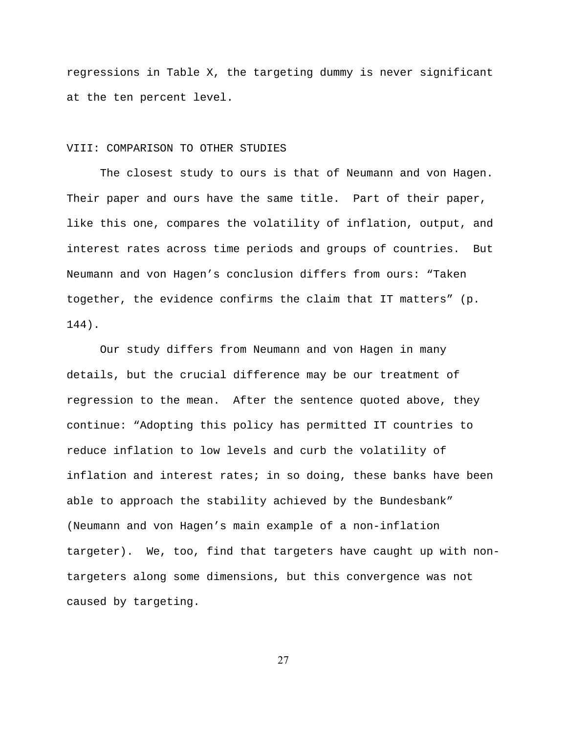regressions in Table X, the targeting dummy is never significant at the ten percent level.

### VIII: COMPARISON TO OTHER STUDIES

 The closest study to ours is that of Neumann and von Hagen. Their paper and ours have the same title. Part of their paper, like this one, compares the volatility of inflation, output, and interest rates across time periods and groups of countries. But Neumann and von Hagen's conclusion differs from ours: "Taken together, the evidence confirms the claim that IT matters" (p. 144).

 Our study differs from Neumann and von Hagen in many details, but the crucial difference may be our treatment of regression to the mean. After the sentence quoted above, they continue: "Adopting this policy has permitted IT countries to reduce inflation to low levels and curb the volatility of inflation and interest rates; in so doing, these banks have been able to approach the stability achieved by the Bundesbank" (Neumann and von Hagen's main example of a non-inflation targeter). We, too, find that targeters have caught up with nontargeters along some dimensions, but this convergence was not caused by targeting.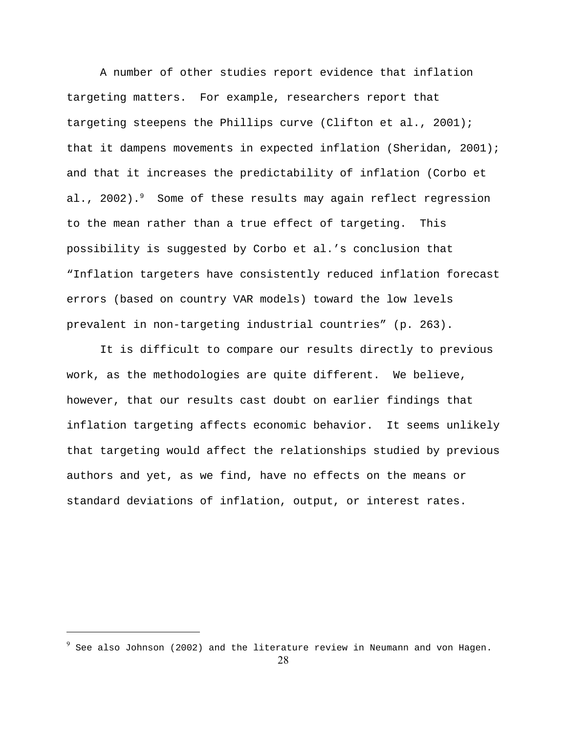A number of other studies report evidence that inflation targeting matters. For example, researchers report that targeting steepens the Phillips curve (Clifton et al., 2001); that it dampens movements in expected inflation (Sheridan, 2001); and that it increases the predictability of inflation (Corbo et al., 2002).<sup>9</sup> Some of these results may again reflect regression to the mean rather than a true effect of targeting. This possibility is suggested by Corbo et al.'s conclusion that "Inflation targeters have consistently reduced inflation forecast errors (based on country VAR models) toward the low levels prevalent in non-targeting industrial countries" (p. 263).

 It is difficult to compare our results directly to previous work, as the methodologies are quite different. We believe, however, that our results cast doubt on earlier findings that inflation targeting affects economic behavior. It seems unlikely that targeting would affect the relationships studied by previous authors and yet, as we find, have no effects on the means or standard deviations of inflation, output, or interest rates.

 $^9$  See also Johnson (2002) and the literature review in Neumann and von Hagen.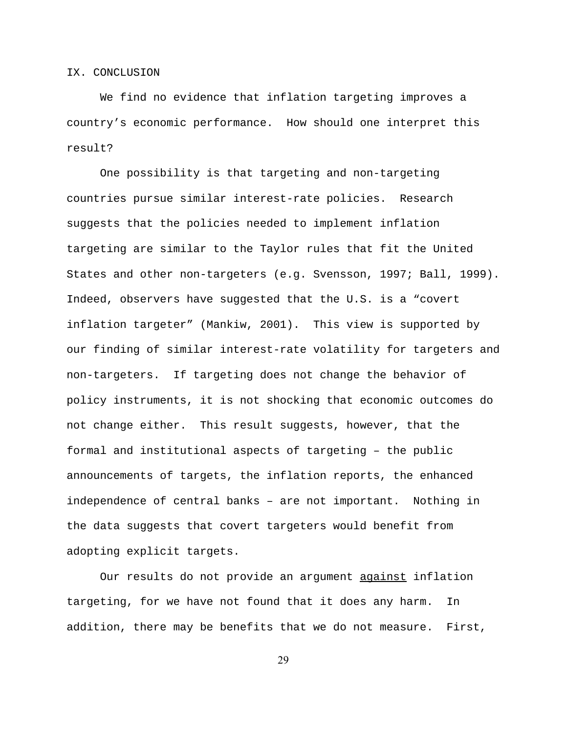#### IX. CONCLUSION

 We find no evidence that inflation targeting improves a country's economic performance. How should one interpret this result?

 One possibility is that targeting and non-targeting countries pursue similar interest-rate policies. Research suggests that the policies needed to implement inflation targeting are similar to the Taylor rules that fit the United States and other non-targeters (e.g. Svensson, 1997; Ball, 1999). Indeed, observers have suggested that the U.S. is a "covert inflation targeter" (Mankiw, 2001). This view is supported by our finding of similar interest-rate volatility for targeters and non-targeters. If targeting does not change the behavior of policy instruments, it is not shocking that economic outcomes do not change either. This result suggests, however, that the formal and institutional aspects of targeting – the public announcements of targets, the inflation reports, the enhanced independence of central banks – are not important. Nothing in the data suggests that covert targeters would benefit from adopting explicit targets.

Our results do not provide an argument against inflation targeting, for we have not found that it does any harm. In addition, there may be benefits that we do not measure. First,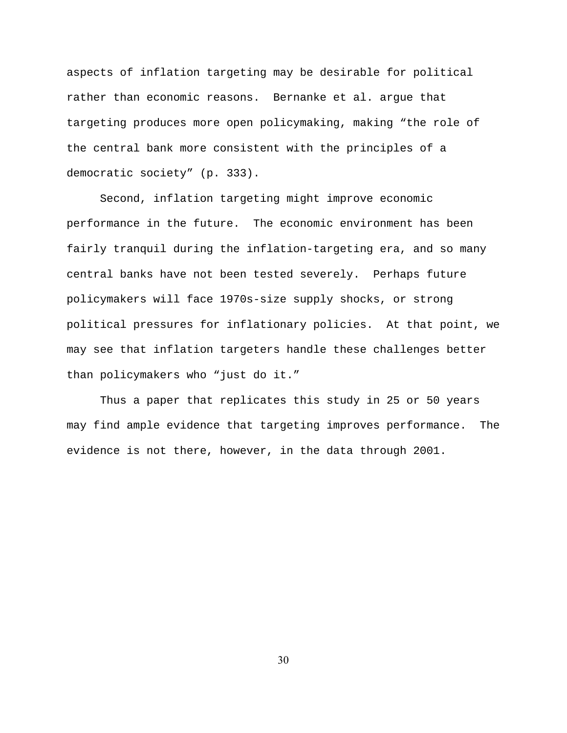aspects of inflation targeting may be desirable for political rather than economic reasons. Bernanke et al. argue that targeting produces more open policymaking, making "the role of the central bank more consistent with the principles of a democratic society" (p. 333).

 Second, inflation targeting might improve economic performance in the future. The economic environment has been fairly tranquil during the inflation-targeting era, and so many central banks have not been tested severely. Perhaps future policymakers will face 1970s-size supply shocks, or strong political pressures for inflationary policies. At that point, we may see that inflation targeters handle these challenges better than policymakers who "just do it."

 Thus a paper that replicates this study in 25 or 50 years may find ample evidence that targeting improves performance. The evidence is not there, however, in the data through 2001.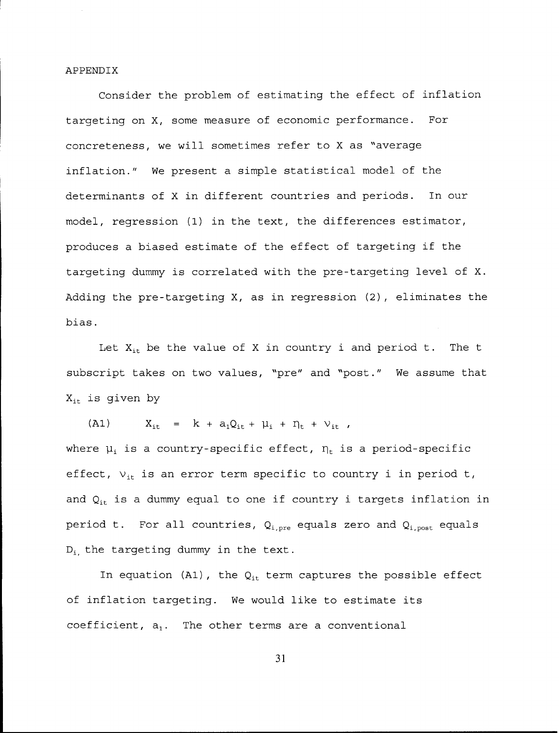#### APPENDIX

Consider the problem of estimating the effect of inflation targeting on X, some measure of economic performance. For concreteness, we will sometimes refer to X as "average inflation." We present a simple statistical model of the determinants of X in different countries and periods. In our model, regression (1) in the text, the differences estimator, produces a biased estimate of the effect of targeting if the targeting dummy is correlated with the pre-targeting level of X. Adding the pre-targeting X, as in regression (2), eliminates the bias.

Let  $X_{it}$  be the value of X in country i and period t. The t subscript takes on two values, "pre" and "post." We assume that  $X_{it}$  is given by

 $X_{it} = k + a_1 Q_{it} + \mu_i + \eta_t + \nu_{it}$  $(A1)$ where  $\mu_i$  is a country-specific effect,  $\eta_t$  is a period-specific effect,  $v_{it}$  is an error term specific to country i in period t, and  $Q_{it}$  is a dummy equal to one if country i targets inflation in period t. For all countries,  $Q_{i, pre}$  equals zero and  $Q_{i, post}$  equals  $D_i$  the targeting dummy in the text.

In equation (A1), the  $Q_{it}$  term captures the possible effect of inflation targeting. We would like to estimate its coefficient,  $a_1$ . The other terms are a conventional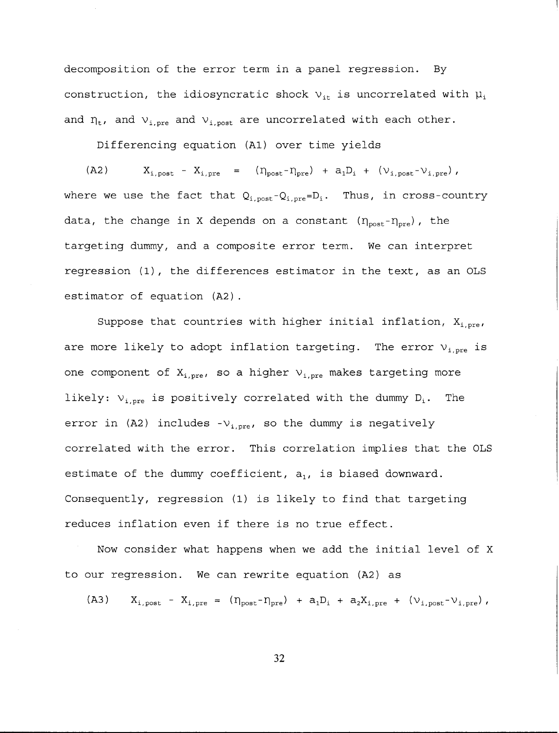decomposition of the error term in a panel regression. By construction, the idiosyncratic shock  $v_{it}$  is uncorrelated with  $\mu_i$ and  $\eta_t$ , and  $v_{i,pre}$  and  $v_{i,post}$  are uncorrelated with each other.

Differencing equation (A1) over time yields

 $X_{i,post} - X_{i,pre} = (\eta_{post} - \eta_{pre}) + a_1D_i + (\nu_{i,post} - \nu_{i,pre}),$  $(A2)$ where we use the fact that  $Q_{i,post} - Q_{i, pre} = D_i$ . Thus, in cross-country data, the change in X depends on a constant  $(\eta_{\text{post}} - \eta_{\text{pre}})$ , the targeting dummy, and a composite error term. We can interpret regression (1), the differences estimator in the text, as an OLS estimator of equation (A2).

Suppose that countries with higher initial inflation,  $X_{i,pre}$ , are more likely to adopt inflation targeting. The error  $v_{i,pre}$  is one component of  $X_{i,pre}$ , so a higher  $V_{i,pre}$  makes targeting more likely:  $v_{i,pre}$  is positively correlated with the dummy  $D_i$ . The error in (A2) includes  $-v_{i,nre}$ , so the dummy is negatively correlated with the error. This correlation implies that the OLS estimate of the dummy coefficient,  $a_1$ , is biased downward. Consequently, regression (1) is likely to find that targeting reduces inflation even if there is no true effect.

Now consider what happens when we add the initial level of X to our regression. We can rewrite equation (A2) as

 $X_{i,post} - X_{i,pre} = (\eta_{post} - \eta_{pre}) + a_1D_i + a_2X_{i,pre} + (\nu_{i,post} - \nu_{i,pre}),$  $(A3)$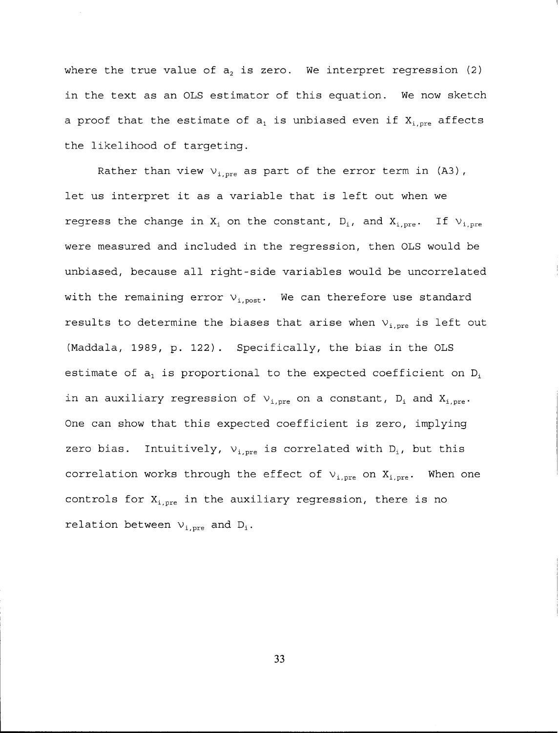where the true value of  $a_2$  is zero. We interpret regression (2) in the text as an OLS estimator of this equation. We now sketch a proof that the estimate of  $a_1$  is unbiased even if  $X_{i, pre}$  affects the likelihood of targeting.

Rather than view  $v_{i,pre}$  as part of the error term in (A3), let us interpret it as a variable that is left out when we regress the change in  $X_i$  on the constant,  $D_i$ , and  $X_{i,pre}$ . If  $V_{i,pre}$ were measured and included in the regression, then OLS would be unbiased, because all right-side variables would be uncorrelated with the remaining error  $v_{i,post}$ . We can therefore use standard results to determine the biases that arise when  $v_{i,pre}$  is left out (Maddala, 1989, p. 122). Specifically, the bias in the OLS estimate of  $a_1$  is proportional to the expected coefficient on  $D_i$ in an auxiliary regression of  $v_{i,pre}$  on a constant,  $D_i$  and  $X_{i,pre}$ . One can show that this expected coefficient is zero, implying zero bias. Intuitively,  $v_{i,pre}$  is correlated with  $D_i$ , but this correlation works through the effect of  $v_{i,pre}$  on  $X_{i,pre}$ . When one controls for  $X_{i, pre}$  in the auxiliary regression, there is no relation between  $v_{i,pre}$  and  $D_i$ .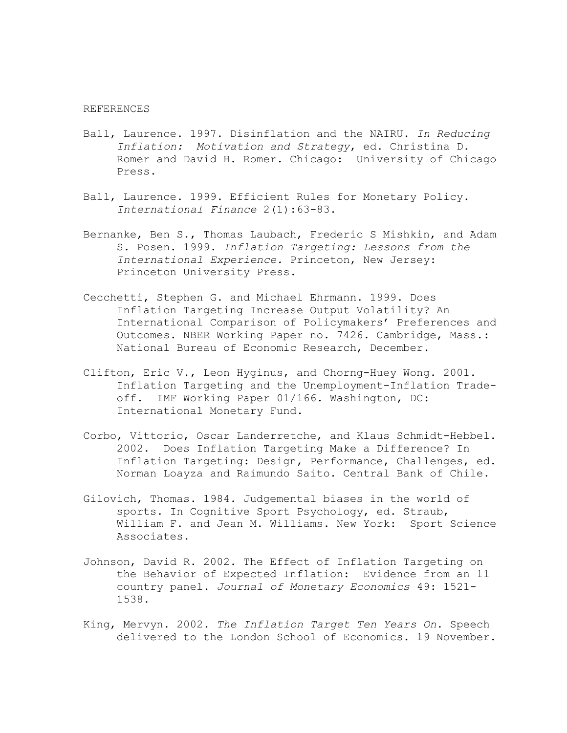#### REFERENCES

- Ball, Laurence. 1997. Disinflation and the NAIRU. *In Reducing Inflation: Motivation and Strategy*, ed. Christina D. Romer and David H. Romer. Chicago: University of Chicago Press.
- Ball, Laurence. 1999. Efficient Rules for Monetary Policy. *International Finance* 2(1):63-83.
- Bernanke, Ben S., Thomas Laubach, Frederic S Mishkin, and Adam S. Posen. 1999. *Inflation Targeting: Lessons from the International Experience.* Princeton, New Jersey: Princeton University Press.
- Cecchetti, Stephen G. and Michael Ehrmann. 1999. Does Inflation Targeting Increase Output Volatility? An International Comparison of Policymakers' Preferences and Outcomes. NBER Working Paper no. 7426. Cambridge, Mass.: National Bureau of Economic Research, December.
- Clifton, Eric V., Leon Hyginus, and Chorng-Huey Wong. 2001. Inflation Targeting and the Unemployment-Inflation Tradeoff. IMF Working Paper 01/166. Washington, DC: International Monetary Fund.
- Corbo, Vittorio, Oscar Landerretche, and Klaus Schmidt-Hebbel. 2002. Does Inflation Targeting Make a Difference? In Inflation Targeting: Design, Performance, Challenges, ed. Norman Loayza and Raimundo Saito. Central Bank of Chile.
- Gilovich, Thomas. 1984. Judgemental biases in the world of sports. In Cognitive Sport Psychology, ed. Straub, William F. and Jean M. Williams. New York: Sport Science Associates.
- Johnson, David R. 2002. The Effect of Inflation Targeting on the Behavior of Expected Inflation: Evidence from an 11 country panel. *Journal of Monetary Economics* 49: 1521- 1538.
- King, Mervyn. 2002. *The Inflation Target Ten Years On*. Speech delivered to the London School of Economics. 19 November.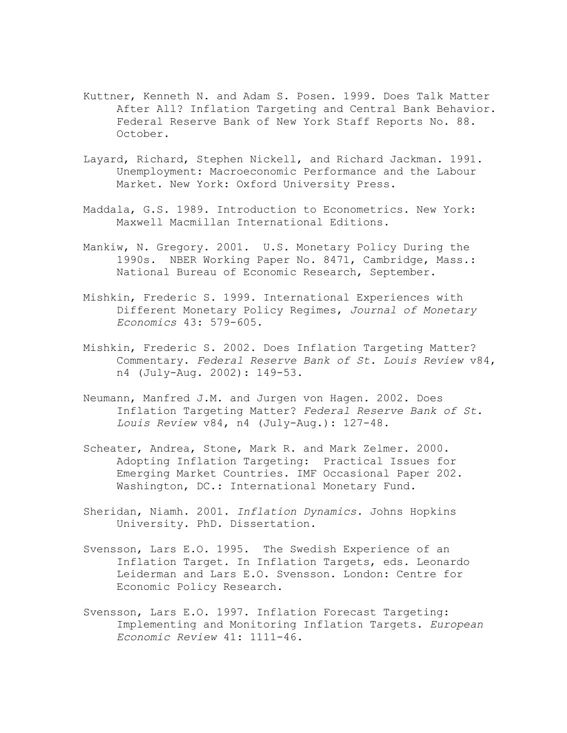- Kuttner, Kenneth N. and Adam S. Posen. 1999. Does Talk Matter After All? Inflation Targeting and Central Bank Behavior. Federal Reserve Bank of New York Staff Reports No. 88. October.
- Layard, Richard, Stephen Nickell, and Richard Jackman. 1991. Unemployment: Macroeconomic Performance and the Labour Market. New York: Oxford University Press.
- Maddala, G.S. 1989. Introduction to Econometrics. New York: Maxwell Macmillan International Editions.
- Mankiw, N. Gregory. 2001. U.S. Monetary Policy During the 1990s. NBER Working Paper No. 8471, Cambridge, Mass.: National Bureau of Economic Research, September.
- Mishkin, Frederic S. 1999. International Experiences with Different Monetary Policy Regimes, *Journal of Monetary Economics* 43: 579-605.
- Mishkin, Frederic S. 2002. Does Inflation Targeting Matter? Commentary. *Federal Reserve Bank of St. Louis Review* v84, n4 (July-Aug. 2002): 149-53.
- Neumann, Manfred J.M. and Jurgen von Hagen. 2002. Does Inflation Targeting Matter? *Federal Reserve Bank of St. Louis Review* v84, n4 (July-Aug.): 127-48.
- Scheater, Andrea, Stone, Mark R. and Mark Zelmer. 2000. Adopting Inflation Targeting: Practical Issues for Emerging Market Countries. IMF Occasional Paper 202. Washington, DC.: International Monetary Fund.
- Sheridan, Niamh. 2001. *Inflation Dynamics*. Johns Hopkins University. PhD. Dissertation.
- Svensson, Lars E.O. 1995. The Swedish Experience of an Inflation Target. In Inflation Targets, eds. Leonardo Leiderman and Lars E.O. Svensson. London: Centre for Economic Policy Research.
- Svensson, Lars E.O. 1997. Inflation Forecast Targeting: Implementing and Monitoring Inflation Targets. *European Economic Review* 41: 1111-46.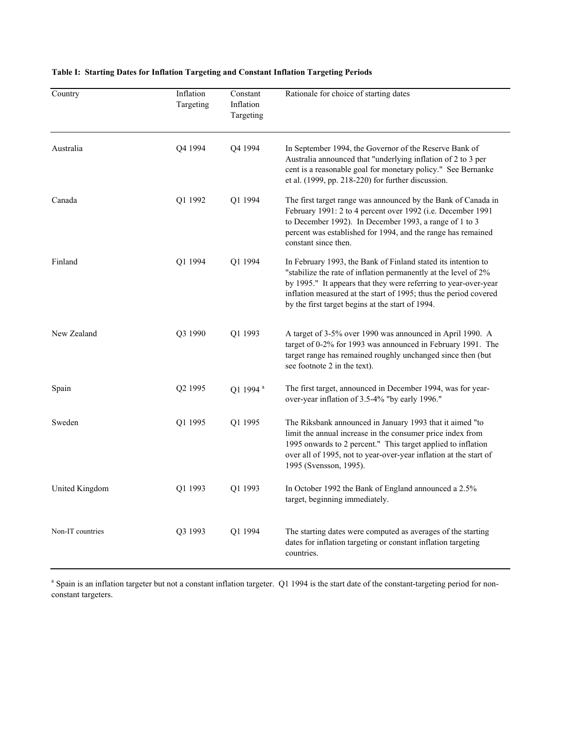| Country          | Inflation<br>Targeting | Constant<br>Inflation<br>Targeting | Rationale for choice of starting dates                                                                                                                                                                                                                                                                                      |
|------------------|------------------------|------------------------------------|-----------------------------------------------------------------------------------------------------------------------------------------------------------------------------------------------------------------------------------------------------------------------------------------------------------------------------|
| Australia        | Q4 1994                | Q4 1994                            | In September 1994, the Governor of the Reserve Bank of<br>Australia announced that "underlying inflation of 2 to 3 per<br>cent is a reasonable goal for monetary policy." See Bernanke<br>et al. (1999, pp. 218-220) for further discussion.                                                                                |
| Canada           | Q1 1992                | Q1 1994                            | The first target range was announced by the Bank of Canada in<br>February 1991: 2 to 4 percent over 1992 (i.e. December 1991<br>to December 1992). In December 1993, a range of 1 to 3<br>percent was established for 1994, and the range has remained<br>constant since then.                                              |
| Finland          | Q1 1994                | Q1 1994                            | In February 1993, the Bank of Finland stated its intention to<br>"stabilize the rate of inflation permanently at the level of 2%<br>by 1995." It appears that they were referring to year-over-year<br>inflation measured at the start of 1995; thus the period covered<br>by the first target begins at the start of 1994. |
| New Zealand      | Q3 1990                | Q1 1993                            | A target of 3-5% over 1990 was announced in April 1990. A<br>target of 0-2% for 1993 was announced in February 1991. The<br>target range has remained roughly unchanged since then (but<br>see footnote 2 in the text).                                                                                                     |
| Spain            | Q <sub>2</sub> 1995    | Q1 1994 <sup>a</sup>               | The first target, announced in December 1994, was for year-<br>over-year inflation of 3.5-4% "by early 1996."                                                                                                                                                                                                               |
| Sweden           | Q1 1995                | Q1 1995                            | The Riksbank announced in January 1993 that it aimed "to<br>limit the annual increase in the consumer price index from<br>1995 onwards to 2 percent." This target applied to inflation<br>over all of 1995, not to year-over-year inflation at the start of<br>1995 (Svensson, 1995).                                       |
| United Kingdom   | Q1 1993                | Q1 1993                            | In October 1992 the Bank of England announced a 2.5%<br>target, beginning immediately.                                                                                                                                                                                                                                      |
| Non-IT countries | Q3 1993                | Q1 1994                            | The starting dates were computed as averages of the starting<br>dates for inflation targeting or constant inflation targeting<br>countries.                                                                                                                                                                                 |

## **Table I: Starting Dates for Inflation Targeting and Constant Inflation Targeting Periods**

<sup>a</sup> Spain is an inflation targeter but not a constant inflation targeter. Q1 1994 is the start date of the constant-targeting period for nonconstant targeters.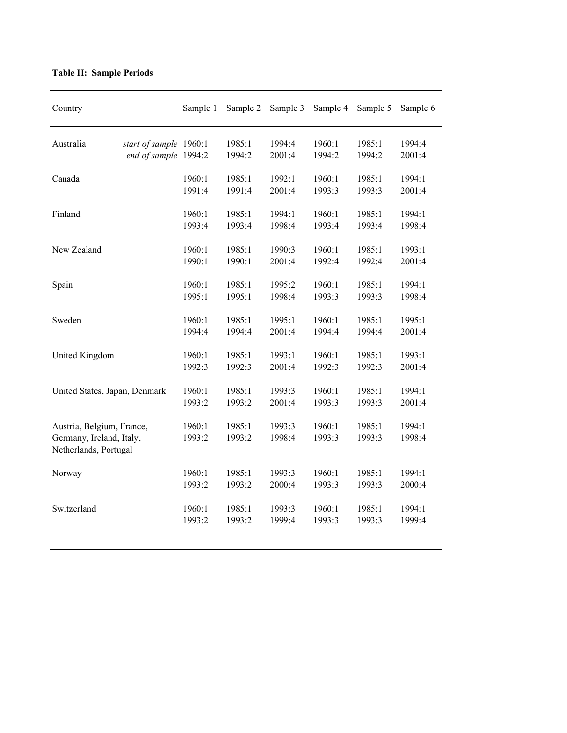| Country                                                                        |                                                | Sample 1         | Sample 2         | Sample 3         | Sample 4         | Sample 5         | Sample 6         |
|--------------------------------------------------------------------------------|------------------------------------------------|------------------|------------------|------------------|------------------|------------------|------------------|
| Australia                                                                      | start of sample 1960:1<br>end of sample 1994:2 |                  | 1985:1<br>1994:2 | 1994:4<br>2001:4 | 1960:1<br>1994:2 | 1985:1<br>1994:2 | 1994:4<br>2001:4 |
| Canada                                                                         |                                                | 1960:1<br>1991:4 | 1985:1<br>1991:4 | 1992:1<br>2001:4 | 1960:1<br>1993:3 | 1985:1<br>1993:3 | 1994:1<br>2001:4 |
| Finland                                                                        |                                                | 1960:1<br>1993:4 | 1985:1<br>1993:4 | 1994:1<br>1998:4 | 1960:1<br>1993:4 | 1985:1<br>1993:4 | 1994:1<br>1998:4 |
| New Zealand                                                                    |                                                | 1960:1<br>1990:1 | 1985:1<br>1990:1 | 1990:3<br>2001:4 | 1960:1<br>1992:4 | 1985:1<br>1992:4 | 1993:1<br>2001:4 |
| Spain                                                                          |                                                | 1960:1<br>1995:1 | 1985:1<br>1995:1 | 1995:2<br>1998:4 | 1960:1<br>1993:3 | 1985:1<br>1993:3 | 1994:1<br>1998:4 |
| Sweden                                                                         |                                                | 1960:1<br>1994:4 | 1985:1<br>1994:4 | 1995:1<br>2001:4 | 1960:1<br>1994:4 | 1985:1<br>1994:4 | 1995:1<br>2001:4 |
| United Kingdom                                                                 |                                                | 1960:1<br>1992:3 | 1985:1<br>1992:3 | 1993:1<br>2001:4 | 1960:1<br>1992:3 | 1985:1<br>1992:3 | 1993:1<br>2001:4 |
| United States, Japan, Denmark                                                  |                                                | 1960:1<br>1993:2 | 1985:1<br>1993:2 | 1993:3<br>2001:4 | 1960:1<br>1993:3 | 1985:1<br>1993:3 | 1994:1<br>2001:4 |
| Austria, Belgium, France,<br>Germany, Ireland, Italy,<br>Netherlands, Portugal |                                                | 1960:1<br>1993:2 | 1985:1<br>1993:2 | 1993:3<br>1998:4 | 1960:1<br>1993:3 | 1985:1<br>1993:3 | 1994:1<br>1998:4 |
| Norway                                                                         |                                                | 1960:1<br>1993:2 | 1985:1<br>1993:2 | 1993:3<br>2000:4 | 1960:1<br>1993:3 | 1985:1<br>1993:3 | 1994:1<br>2000:4 |
| Switzerland                                                                    |                                                | 1960:1<br>1993:2 | 1985:1<br>1993:2 | 1993:3<br>1999:4 | 1960:1<br>1993:3 | 1985:1<br>1993:3 | 1994:1<br>1999:4 |

## **Table II: Sample Periods**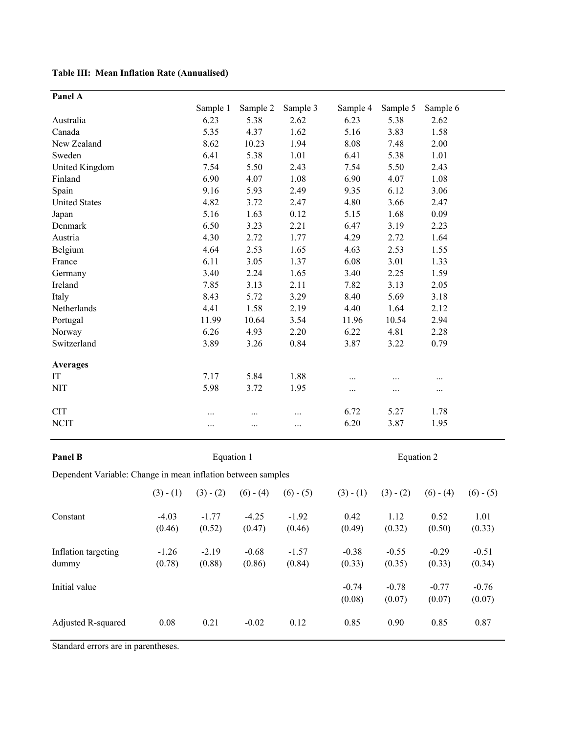**Table III: Mean Inflation Rate (Annualised)**

| Panel A                                                      |                   |                   |                   |                   |                |                |                |                |
|--------------------------------------------------------------|-------------------|-------------------|-------------------|-------------------|----------------|----------------|----------------|----------------|
|                                                              |                   | Sample 1          | Sample 2          | Sample 3          | Sample 4       | Sample 5       | Sample 6       |                |
| Australia                                                    |                   | 6.23              | 5.38              | 2.62              | 6.23           | 5.38           | 2.62           |                |
| Canada                                                       |                   | 5.35              | 4.37              | 1.62              | 5.16           | 3.83           | 1.58           |                |
| New Zealand                                                  |                   | 8.62              | 10.23             | 1.94              | 8.08           | 7.48           | 2.00           |                |
| Sweden                                                       |                   | 6.41              | 5.38              | 1.01              | 6.41           | 5.38           | 1.01           |                |
| United Kingdom                                               |                   | 7.54              | 5.50              | 2.43              | 7.54           | 5.50           | 2.43           |                |
| Finland                                                      |                   | 6.90              | 4.07              | 1.08              | 6.90           | 4.07           | 1.08           |                |
| Spain                                                        |                   | 9.16              | 5.93              | 2.49              | 9.35           | 6.12           | 3.06           |                |
| <b>United States</b>                                         |                   | 4.82              | 3.72              | 2.47              | 4.80           | 3.66           | 2.47           |                |
| Japan                                                        |                   | 5.16              | 1.63              | 0.12              | 5.15           | 1.68           | 0.09           |                |
| Denmark                                                      |                   | 6.50              | 3.23              | 2.21              | 6.47           | 3.19           | 2.23           |                |
| Austria                                                      |                   | 4.30              | 2.72              | 1.77              | 4.29           | 2.72           | 1.64           |                |
| Belgium                                                      |                   | 4.64              | 2.53              | 1.65              | 4.63           | 2.53           | 1.55           |                |
| France                                                       |                   | 6.11              | 3.05              | 1.37              | 6.08           | 3.01           | 1.33           |                |
| Germany                                                      |                   | 3.40              | 2.24              | 1.65              | 3.40           | 2.25           | 1.59           |                |
| Ireland                                                      |                   | 7.85              | 3.13              | 2.11              | 7.82           | 3.13           | 2.05           |                |
| Italy                                                        |                   | 8.43              | 5.72              | 3.29              | 8.40           | 5.69           | 3.18           |                |
| Netherlands                                                  |                   | 4.41              | 1.58              | 2.19              | 4.40           | 1.64           | 2.12           |                |
| Portugal                                                     |                   | 11.99             | 10.64             | 3.54              | 11.96          | 10.54          | 2.94           |                |
| Norway                                                       |                   | 6.26              | 4.93              | 2.20              | 6.22           | 4.81           | 2.28           |                |
| Switzerland                                                  |                   | 3.89              | 3.26              | 0.84              | 3.87           | 3.22           | 0.79           |                |
| <b>Averages</b>                                              |                   |                   |                   |                   |                |                |                |                |
| IT                                                           |                   | 7.17              | 5.84              | 1.88              | .              |                | .              |                |
| <b>NIT</b>                                                   |                   | 5.98              | 3.72              | 1.95              | .              | $\cdots$       | $\cdots$       |                |
| <b>CIT</b>                                                   |                   |                   | .                 | $\cdots$          | 6.72           | 5.27           | 1.78           |                |
| <b>NCIT</b>                                                  |                   | .                 | .                 |                   | 6.20           | 3.87           | 1.95           |                |
| Panel B                                                      |                   | Equation 1        |                   |                   |                | Equation 2     |                |                |
|                                                              |                   |                   |                   |                   |                |                |                |                |
| Dependent Variable: Change in mean inflation between samples |                   |                   |                   |                   |                |                |                |                |
|                                                              | $(3) - (1)$       | $(3) - (2)$       | $(6) - (4)$       | $(6) - (5)$       | $(3) - (1)$    | $(3) - (2)$    | $(6) - (4)$    | $(6) - (5)$    |
| Constant                                                     | $-4.03$<br>(0.46) | $-1.77$<br>(0.52) | $-4.25$<br>(0.47) | $-1.92$<br>(0.46) | 0.42<br>(0.49) | 1.12<br>(0.32) | 0.52<br>(0.50) | 1.01<br>(0.33) |
|                                                              |                   |                   |                   |                   |                |                |                |                |

| Inflation targeting<br>dummy | $-1.26$<br>(0.78) | $-2.19$<br>(0.88) | $-0.68$<br>(0.86) | $-1.57$<br>(0.84) | $-0.38$<br>(0.33) | $-0.55$<br>(0.35) | $-0.29$<br>(0.33) | $-0.51$<br>(0.34) |
|------------------------------|-------------------|-------------------|-------------------|-------------------|-------------------|-------------------|-------------------|-------------------|
| Initial value                |                   |                   |                   |                   | $-0.74$<br>(0.08) | $-0.78$<br>(0.07) | $-0.77$<br>(0.07) | $-0.76$<br>(0.07) |
| Adjusted R-squared           | 0.08              | 0.21              | $-0.02$           | 0.12              | 0.85              | 0.90              | 0.85              | 0.87              |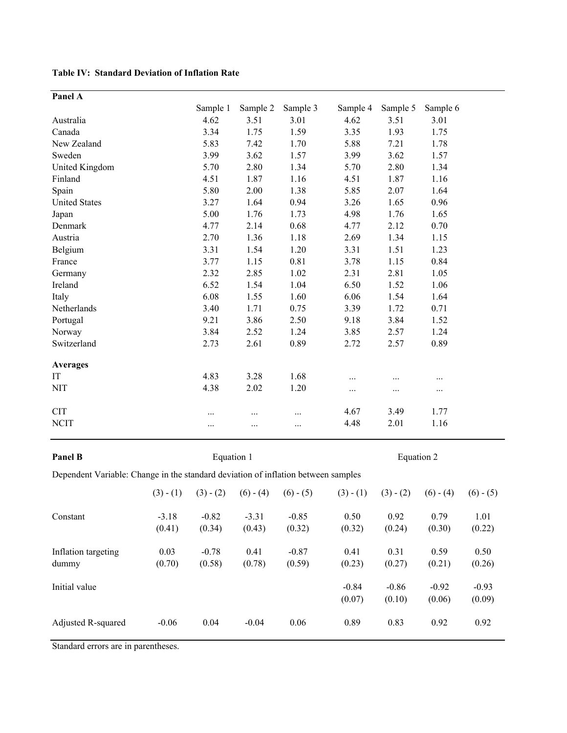**Table IV: Standard Deviation of Inflation Rate**

| Panel A              |          |          |          |          |          |          |
|----------------------|----------|----------|----------|----------|----------|----------|
|                      | Sample 1 | Sample 2 | Sample 3 | Sample 4 | Sample 5 | Sample 6 |
| Australia            | 4.62     | 3.51     | 3.01     | 4.62     | 3.51     | 3.01     |
| Canada               | 3.34     | 1.75     | 1.59     | 3.35     | 1.93     | 1.75     |
| New Zealand          | 5.83     | 7.42     | 1.70     | 5.88     | 7.21     | 1.78     |
| Sweden               | 3.99     | 3.62     | 1.57     | 3.99     | 3.62     | 1.57     |
| United Kingdom       | 5.70     | 2.80     | 1.34     | 5.70     | 2.80     | 1.34     |
| Finland              | 4.51     | 1.87     | 1.16     | 4.51     | 1.87     | 1.16     |
| Spain                | 5.80     | 2.00     | 1.38     | 5.85     | 2.07     | 1.64     |
| <b>United States</b> | 3.27     | 1.64     | 0.94     | 3.26     | 1.65     | 0.96     |
| Japan                | 5.00     | 1.76     | 1.73     | 4.98     | 1.76     | 1.65     |
| Denmark              | 4.77     | 2.14     | 0.68     | 4.77     | 2.12     | 0.70     |
| Austria              | 2.70     | 1.36     | 1.18     | 2.69     | 1.34     | 1.15     |
| Belgium              | 3.31     | 1.54     | 1.20     | 3.31     | 1.51     | 1.23     |
| France               | 3.77     | 1.15     | 0.81     | 3.78     | 1.15     | 0.84     |
| Germany              | 2.32     | 2.85     | 1.02     | 2.31     | 2.81     | 1.05     |
| Ireland              | 6.52     | 1.54     | 1.04     | 6.50     | 1.52     | 1.06     |
| Italy                | 6.08     | 1.55     | 1.60     | 6.06     | 1.54     | 1.64     |
| Netherlands          | 3.40     | 1.71     | 0.75     | 3.39     | 1.72     | 0.71     |
| Portugal             | 9.21     | 3.86     | 2.50     | 9.18     | 3.84     | 1.52     |
| Norway               | 3.84     | 2.52     | 1.24     | 3.85     | 2.57     | 1.24     |
| Switzerland          | 2.73     | 2.61     | 0.89     | 2.72     | 2.57     | 0.89     |
| <b>Averages</b>      |          |          |          |          |          |          |
| IT                   | 4.83     | 3.28     | 1.68     |          | .        |          |
| <b>NIT</b>           | 4.38     | 2.02     | 1.20     | $\cdots$ |          | $\cdots$ |
| <b>CIT</b>           | .        | .        |          | 4.67     | 3.49     | 1.77     |
| <b>NCIT</b>          |          |          | $\ddots$ | 4.48     | 2.01     | 1.16     |

**Panel B**

Equation 1 Equation 2

Dependent Variable: Change in the standard deviation of inflation between samples

|                              | $(3) - (1)$       | $(3) - (2)$       | $(6) - (4)$       | $(6) - (5)$       | $(3) - (1)$       | $(3) - (2)$       | $(6) - (4)$       | $(6) - (5)$       |
|------------------------------|-------------------|-------------------|-------------------|-------------------|-------------------|-------------------|-------------------|-------------------|
| Constant                     | $-3.18$<br>(0.41) | $-0.82$<br>(0.34) | $-3.31$<br>(0.43) | $-0.85$<br>(0.32) | 0.50<br>(0.32)    | 0.92<br>(0.24)    | 0.79<br>(0.30)    | 1.01<br>(0.22)    |
| Inflation targeting<br>dummy | 0.03<br>(0.70)    | $-0.78$<br>(0.58) | 0.41<br>(0.78)    | $-0.87$<br>(0.59) | 0.41<br>(0.23)    | 0.31<br>(0.27)    | 0.59<br>(0.21)    | 0.50<br>(0.26)    |
| Initial value                |                   |                   |                   |                   | $-0.84$<br>(0.07) | $-0.86$<br>(0.10) | $-0.92$<br>(0.06) | $-0.93$<br>(0.09) |
| Adjusted R-squared           | $-0.06$           | 0.04              | $-0.04$           | 0.06              | 0.89              | 0.83              | 0.92              | 0.92              |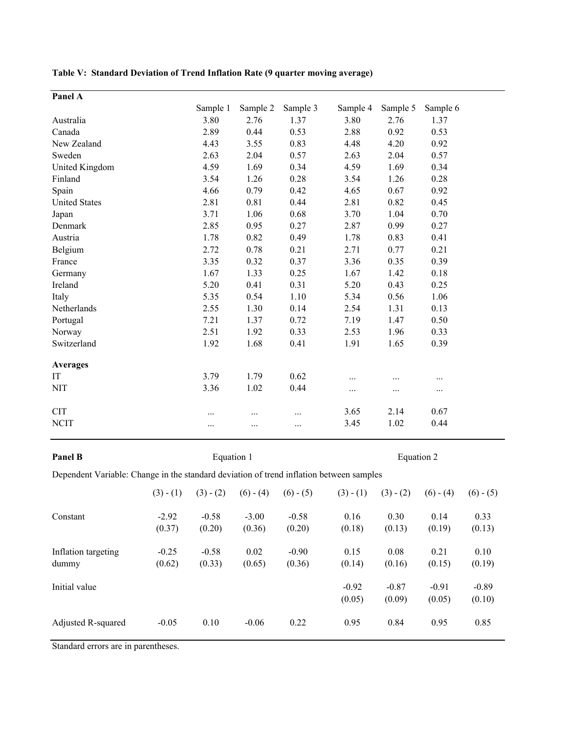| Sample 1<br>Sample 3<br>Sample 2<br>Sample 4<br>Sample 5<br>3.80<br>2.76<br>1.37<br>3.80<br>2.76<br>Australia<br>2.88<br>Canada<br>2.89<br>0.44<br>0.53<br>0.92<br>4.20<br>New Zealand<br>4.43<br>3.55<br>0.83<br>4.48<br>2.63<br>2.04<br>2.63<br>Sweden<br>0.57<br>2.04<br>United Kingdom<br>4.59<br>1.69<br>0.34<br>4.59<br>1.69<br>3.54<br>1.26<br>0.28<br>3.54<br>Finland<br>1.26<br>4.66<br>0.79<br>0.42<br>4.65<br>Spain<br>0.67<br>2.81<br>0.81<br>0.44<br>2.81<br>0.82<br><b>United States</b><br>3.71<br>1.06<br>0.68<br>3.70<br>1.04<br>Japan<br>2.85<br>0.95<br>0.27<br>2.87<br>0.99<br>Denmark<br>Austria<br>1.78<br>0.82<br>0.49<br>1.78<br>0.83<br>2.72<br>2.71<br>Belgium<br>0.78<br>0.21<br>0.77<br>3.35<br>3.36<br>France<br>0.32<br>0.37<br>0.35<br>1.67<br>1.33<br>0.25<br>1.67<br>1.42<br>Germany<br>5.20<br>0.41<br>0.31<br>5.20<br>Ireland<br>0.43<br>5.35<br>5.34<br>Italy<br>0.54<br>1.10<br>0.56<br>2.55<br>1.30<br>2.54<br>1.31<br>Netherlands<br>0.14<br>7.21<br>7.19<br>1.47<br>1.37<br>0.72<br>Portugal<br>2.51<br>1.92<br>0.33<br>2.53<br>1.96<br>Norway<br>Switzerland<br>1.92<br>1.68<br>0.41<br>1.91<br>1.65<br><b>Averages</b> |          |
|------------------------------------------------------------------------------------------------------------------------------------------------------------------------------------------------------------------------------------------------------------------------------------------------------------------------------------------------------------------------------------------------------------------------------------------------------------------------------------------------------------------------------------------------------------------------------------------------------------------------------------------------------------------------------------------------------------------------------------------------------------------------------------------------------------------------------------------------------------------------------------------------------------------------------------------------------------------------------------------------------------------------------------------------------------------------------------------------------------------------------------------------------------------|----------|
|                                                                                                                                                                                                                                                                                                                                                                                                                                                                                                                                                                                                                                                                                                                                                                                                                                                                                                                                                                                                                                                                                                                                                                  | Sample 6 |
|                                                                                                                                                                                                                                                                                                                                                                                                                                                                                                                                                                                                                                                                                                                                                                                                                                                                                                                                                                                                                                                                                                                                                                  | 1.37     |
|                                                                                                                                                                                                                                                                                                                                                                                                                                                                                                                                                                                                                                                                                                                                                                                                                                                                                                                                                                                                                                                                                                                                                                  | 0.53     |
|                                                                                                                                                                                                                                                                                                                                                                                                                                                                                                                                                                                                                                                                                                                                                                                                                                                                                                                                                                                                                                                                                                                                                                  | 0.92     |
|                                                                                                                                                                                                                                                                                                                                                                                                                                                                                                                                                                                                                                                                                                                                                                                                                                                                                                                                                                                                                                                                                                                                                                  | 0.57     |
|                                                                                                                                                                                                                                                                                                                                                                                                                                                                                                                                                                                                                                                                                                                                                                                                                                                                                                                                                                                                                                                                                                                                                                  | 0.34     |
|                                                                                                                                                                                                                                                                                                                                                                                                                                                                                                                                                                                                                                                                                                                                                                                                                                                                                                                                                                                                                                                                                                                                                                  | 0.28     |
|                                                                                                                                                                                                                                                                                                                                                                                                                                                                                                                                                                                                                                                                                                                                                                                                                                                                                                                                                                                                                                                                                                                                                                  | 0.92     |
|                                                                                                                                                                                                                                                                                                                                                                                                                                                                                                                                                                                                                                                                                                                                                                                                                                                                                                                                                                                                                                                                                                                                                                  | 0.45     |
|                                                                                                                                                                                                                                                                                                                                                                                                                                                                                                                                                                                                                                                                                                                                                                                                                                                                                                                                                                                                                                                                                                                                                                  | 0.70     |
|                                                                                                                                                                                                                                                                                                                                                                                                                                                                                                                                                                                                                                                                                                                                                                                                                                                                                                                                                                                                                                                                                                                                                                  | 0.27     |
|                                                                                                                                                                                                                                                                                                                                                                                                                                                                                                                                                                                                                                                                                                                                                                                                                                                                                                                                                                                                                                                                                                                                                                  | 0.41     |
|                                                                                                                                                                                                                                                                                                                                                                                                                                                                                                                                                                                                                                                                                                                                                                                                                                                                                                                                                                                                                                                                                                                                                                  | 0.21     |
|                                                                                                                                                                                                                                                                                                                                                                                                                                                                                                                                                                                                                                                                                                                                                                                                                                                                                                                                                                                                                                                                                                                                                                  | 0.39     |
|                                                                                                                                                                                                                                                                                                                                                                                                                                                                                                                                                                                                                                                                                                                                                                                                                                                                                                                                                                                                                                                                                                                                                                  | 0.18     |
|                                                                                                                                                                                                                                                                                                                                                                                                                                                                                                                                                                                                                                                                                                                                                                                                                                                                                                                                                                                                                                                                                                                                                                  | 0.25     |
|                                                                                                                                                                                                                                                                                                                                                                                                                                                                                                                                                                                                                                                                                                                                                                                                                                                                                                                                                                                                                                                                                                                                                                  | 1.06     |
|                                                                                                                                                                                                                                                                                                                                                                                                                                                                                                                                                                                                                                                                                                                                                                                                                                                                                                                                                                                                                                                                                                                                                                  | 0.13     |
|                                                                                                                                                                                                                                                                                                                                                                                                                                                                                                                                                                                                                                                                                                                                                                                                                                                                                                                                                                                                                                                                                                                                                                  | 0.50     |
|                                                                                                                                                                                                                                                                                                                                                                                                                                                                                                                                                                                                                                                                                                                                                                                                                                                                                                                                                                                                                                                                                                                                                                  | 0.33     |
|                                                                                                                                                                                                                                                                                                                                                                                                                                                                                                                                                                                                                                                                                                                                                                                                                                                                                                                                                                                                                                                                                                                                                                  | 0.39     |
|                                                                                                                                                                                                                                                                                                                                                                                                                                                                                                                                                                                                                                                                                                                                                                                                                                                                                                                                                                                                                                                                                                                                                                  |          |
| 3.79<br>0.62<br>IT<br>1.79<br>.<br>                                                                                                                                                                                                                                                                                                                                                                                                                                                                                                                                                                                                                                                                                                                                                                                                                                                                                                                                                                                                                                                                                                                              | $\cdots$ |
| <b>NIT</b><br>0.44<br>3.36<br>1.02<br>.<br>$\cdots$                                                                                                                                                                                                                                                                                                                                                                                                                                                                                                                                                                                                                                                                                                                                                                                                                                                                                                                                                                                                                                                                                                              | $\cdots$ |
| <b>CIT</b><br>3.65<br>2.14<br>.<br>.<br>.                                                                                                                                                                                                                                                                                                                                                                                                                                                                                                                                                                                                                                                                                                                                                                                                                                                                                                                                                                                                                                                                                                                        | 0.67     |
| <b>NCIT</b><br>3.45<br>1.02<br>.<br>.<br>.                                                                                                                                                                                                                                                                                                                                                                                                                                                                                                                                                                                                                                                                                                                                                                                                                                                                                                                                                                                                                                                                                                                       | 0.44     |

**Table V: Standard Deviation of Trend Inflation Rate (9 quarter moving average)**

**Panel B**

Equation 1 Equation 2

Dependent Variable: Change in the standard deviation of trend inflation between samples

|                              | $(3) - (1)$       | $(3) - (2)$       | $(6) - (4)$       | $(6) - (5)$       | $(3) - (1)$       | $(3) - (2)$       | $(6) - (4)$       | $(6) - (5)$       |
|------------------------------|-------------------|-------------------|-------------------|-------------------|-------------------|-------------------|-------------------|-------------------|
| Constant                     | $-2.92$<br>(0.37) | $-0.58$<br>(0.20) | $-3.00$<br>(0.36) | $-0.58$<br>(0.20) | 0.16<br>(0.18)    | 0.30<br>(0.13)    | 0.14<br>(0.19)    | 0.33<br>(0.13)    |
| Inflation targeting<br>dummy | $-0.25$<br>(0.62) | $-0.58$<br>(0.33) | 0.02<br>(0.65)    | $-0.90$<br>(0.36) | 0.15<br>(0.14)    | 0.08<br>(0.16)    | 0.21<br>(0.15)    | 0.10<br>(0.19)    |
| Initial value                |                   |                   |                   |                   | $-0.92$<br>(0.05) | $-0.87$<br>(0.09) | $-0.91$<br>(0.05) | $-0.89$<br>(0.10) |
| Adjusted R-squared           | $-0.05$           | 0.10              | $-0.06$           | 0.22              | 0.95              | 0.84              | 0.95              | 0.85              |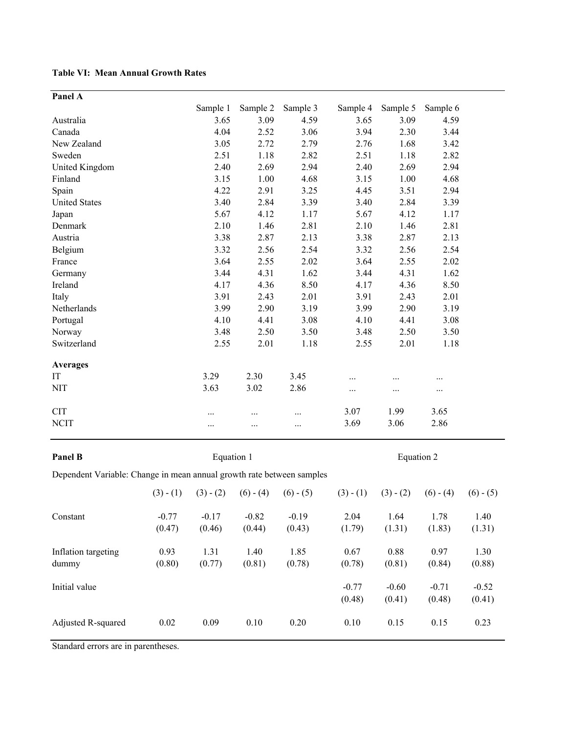**Table VI: Mean Annual Growth Rates** 

| Panel A                                                               |                   |                   |                   |                   |                |                |                |                |
|-----------------------------------------------------------------------|-------------------|-------------------|-------------------|-------------------|----------------|----------------|----------------|----------------|
|                                                                       |                   | Sample 1          | Sample 2          | Sample 3          | Sample 4       | Sample 5       | Sample 6       |                |
| Australia                                                             |                   | 3.65              | 3.09              | 4.59              | 3.65           | 3.09           | 4.59           |                |
| Canada                                                                |                   | 4.04              | 2.52              | 3.06              | 3.94           | 2.30           | 3.44           |                |
| New Zealand                                                           |                   | 3.05              | 2.72              | 2.79              | 2.76           | 1.68           | 3.42           |                |
| Sweden                                                                |                   | 2.51              | 1.18              | 2.82              | 2.51           | 1.18           | 2.82           |                |
| United Kingdom                                                        |                   | 2.40              | 2.69              | 2.94              | 2.40           | 2.69           | 2.94           |                |
| Finland                                                               |                   | 3.15              | 1.00              | 4.68              | 3.15           | 1.00           | 4.68           |                |
| Spain                                                                 |                   | 4.22              | 2.91              | 3.25              | 4.45           | 3.51           | 2.94           |                |
| <b>United States</b>                                                  |                   | 3.40              | 2.84              | 3.39              | 3.40           | 2.84           | 3.39           |                |
| Japan                                                                 |                   | 5.67              | 4.12              | 1.17              | 5.67           | 4.12           | 1.17           |                |
| Denmark                                                               |                   | 2.10              | 1.46              | 2.81              | 2.10           | 1.46           | 2.81           |                |
| Austria                                                               |                   | 3.38              | 2.87              | 2.13              | 3.38           | 2.87           | 2.13           |                |
| Belgium                                                               |                   | 3.32              | 2.56              | 2.54              | 3.32           | 2.56           | 2.54           |                |
| France                                                                |                   | 3.64              | 2.55              | 2.02              | 3.64           | 2.55           | 2.02           |                |
| Germany                                                               |                   | 3.44              | 4.31              | 1.62              | 3.44           | 4.31           | 1.62           |                |
| Ireland                                                               |                   | 4.17              | 4.36              | 8.50              | 4.17           | 4.36           | 8.50           |                |
| Italy                                                                 |                   | 3.91              | 2.43              | 2.01              | 3.91           | 2.43           | 2.01           |                |
| Netherlands                                                           |                   | 3.99              | 2.90              | 3.19              | 3.99           | 2.90           | 3.19           |                |
| Portugal                                                              |                   | 4.10              | 4.41              | 3.08              | 4.10           | 4.41           | 3.08           |                |
| Norway                                                                |                   | 3.48              | 2.50              | 3.50              | 3.48           | 2.50           | 3.50           |                |
| Switzerland                                                           |                   | 2.55              | 2.01              | 1.18              | 2.55           | 2.01           | 1.18           |                |
| <b>Averages</b>                                                       |                   |                   |                   |                   |                |                |                |                |
| IT                                                                    |                   | 3.29              | 2.30              | 3.45              |                | $\cdots$       | $\cdots$       |                |
| <b>NIT</b>                                                            |                   | 3.63              | 3.02              | 2.86              |                | .              | $\cdots$       |                |
| <b>CIT</b>                                                            |                   | .                 | .                 | $\cdots$          | 3.07           | 1.99           | 3.65           |                |
| <b>NCIT</b>                                                           |                   |                   | .                 | $\cdots$          | 3.69           | 3.06           | 2.86           |                |
|                                                                       |                   |                   |                   |                   |                |                |                |                |
| Panel B                                                               |                   | Equation 1        |                   |                   |                | Equation 2     |                |                |
| Dependent Variable: Change in mean annual growth rate between samples |                   |                   |                   |                   |                |                |                |                |
|                                                                       | $(3) - (1)$       | $(3) - (2)$       | $(6) - (4)$       | $(6) - (5)$       | $(3) - (1)$    | $(3) - (2)$    | $(6) - (4)$    | $(6) - (5)$    |
| Constant                                                              | $-0.77$<br>(0.47) | $-0.17$<br>(0.46) | $-0.82$<br>(0.44) | $-0.19$<br>(0.43) | 2.04<br>(1.79) | 1.64<br>(1.31) | 1.78<br>(1.83) | 1.40<br>(1.31) |

Initial value  $-0.77$   $-0.60$   $-0.71$   $-0.52$ 

Adjusted R-squared 0.02 0.09 0.10 0.20 0.10 0.15 0.15 0.23

0.93 1.31 1.40 1.85 0.67 0.88 0.97 1.30 (0.80) (0.77) (0.81) (0.78) (0.78) (0.81) (0.84) (0.88)

 $(0.48)$   $(0.41)$   $(0.48)$   $(0.41)$ 

Standard errors are in parentheses.

Inflation targeting

dummy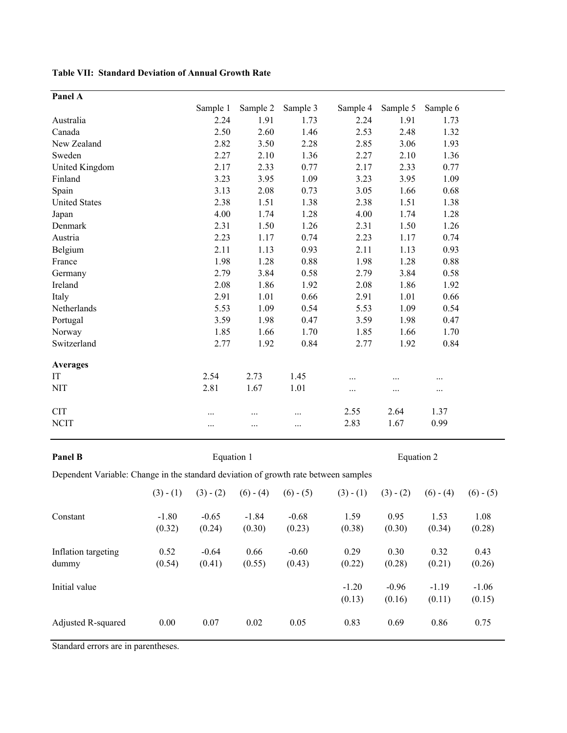**Table VII: Standard Deviation of Annual Growth Rate**

| Panel A              |          |          |          |          |          |          |
|----------------------|----------|----------|----------|----------|----------|----------|
|                      | Sample 1 | Sample 2 | Sample 3 | Sample 4 | Sample 5 | Sample 6 |
| Australia            | 2.24     | 1.91     | 1.73     | 2.24     | 1.91     | 1.73     |
| Canada               | 2.50     | 2.60     | 1.46     | 2.53     | 2.48     | 1.32     |
| New Zealand          | 2.82     | 3.50     | 2.28     | 2.85     | 3.06     | 1.93     |
| Sweden               | 2.27     | 2.10     | 1.36     | 2.27     | 2.10     | 1.36     |
| United Kingdom       | 2.17     | 2.33     | 0.77     | 2.17     | 2.33     | 0.77     |
| Finland              | 3.23     | 3.95     | 1.09     | 3.23     | 3.95     | 1.09     |
| Spain                | 3.13     | 2.08     | 0.73     | 3.05     | 1.66     | 0.68     |
| <b>United States</b> | 2.38     | 1.51     | 1.38     | 2.38     | 1.51     | 1.38     |
| Japan                | 4.00     | 1.74     | 1.28     | 4.00     | 1.74     | 1.28     |
| Denmark              | 2.31     | 1.50     | 1.26     | 2.31     | 1.50     | 1.26     |
| Austria              | 2.23     | 1.17     | 0.74     | 2.23     | 1.17     | 0.74     |
| Belgium              | 2.11     | 1.13     | 0.93     | 2.11     | 1.13     | 0.93     |
| France               | 1.98     | 1.28     | 0.88     | 1.98     | 1.28     | 0.88     |
| Germany              | 2.79     | 3.84     | 0.58     | 2.79     | 3.84     | 0.58     |
| Ireland              | 2.08     | 1.86     | 1.92     | 2.08     | 1.86     | 1.92     |
| Italy                | 2.91     | 1.01     | 0.66     | 2.91     | 1.01     | 0.66     |
| Netherlands          | 5.53     | 1.09     | 0.54     | 5.53     | 1.09     | 0.54     |
| Portugal             | 3.59     | 1.98     | 0.47     | 3.59     | 1.98     | 0.47     |
| Norway               | 1.85     | 1.66     | 1.70     | 1.85     | 1.66     | 1.70     |
| Switzerland          | 2.77     | 1.92     | 0.84     | 2.77     | 1.92     | 0.84     |
| <b>Averages</b>      |          |          |          |          |          |          |
| IT                   | 2.54     | 2.73     | 1.45     | .        | .        | .        |
| <b>NIT</b>           | 2.81     | 1.67     | 1.01     | .        | .        | $\cdots$ |
| <b>CIT</b>           |          |          | $\cdots$ | 2.55     | 2.64     | 1.37     |
| <b>NCIT</b>          |          | .        |          | 2.83     | 1.67     | 0.99     |

**Panel B**

Equation 1 Equation 2

Dependent Variable: Change in the standard deviation of growth rate between samples

|                              | $(3) - (1)$       | $(3) - (2)$       | $(6) - (4)$       | $(6) - (5)$       | $(3) - (1)$       | $(3) - (2)$       | $(6) - (4)$       | $(6) - (5)$       |
|------------------------------|-------------------|-------------------|-------------------|-------------------|-------------------|-------------------|-------------------|-------------------|
| Constant                     | $-1.80$<br>(0.32) | $-0.65$<br>(0.24) | $-1.84$<br>(0.30) | $-0.68$<br>(0.23) | 1.59<br>(0.38)    | 0.95<br>(0.30)    | 1.53<br>(0.34)    | 1.08<br>(0.28)    |
| Inflation targeting<br>dummy | 0.52<br>(0.54)    | $-0.64$<br>(0.41) | 0.66<br>(0.55)    | $-0.60$<br>(0.43) | 0.29<br>(0.22)    | 0.30<br>(0.28)    | 0.32<br>(0.21)    | 0.43<br>(0.26)    |
| Initial value                |                   |                   |                   |                   | $-1.20$<br>(0.13) | $-0.96$<br>(0.16) | $-1.19$<br>(0.11) | $-1.06$<br>(0.15) |
| Adjusted R-squared           | 0.00              | 0.07              | 0.02              | 0.05              | 0.83              | 0.69              | 0.86              | 0.75              |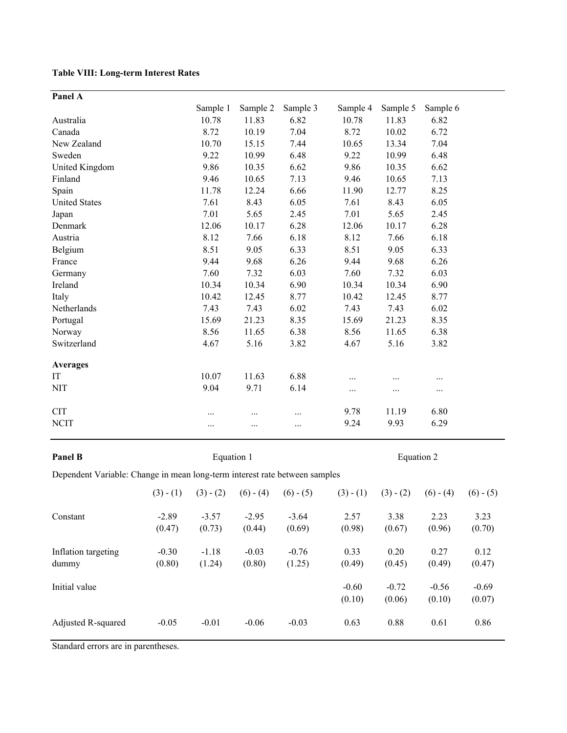## **Table VIII: Long-term Interest Rates**

| Panel A              |          |          |          |          |          |          |
|----------------------|----------|----------|----------|----------|----------|----------|
|                      | Sample 1 | Sample 2 | Sample 3 | Sample 4 | Sample 5 | Sample 6 |
| Australia            | 10.78    | 11.83    | 6.82     | 10.78    | 11.83    | 6.82     |
| Canada               | 8.72     | 10.19    | 7.04     | 8.72     | 10.02    | 6.72     |
| New Zealand          | 10.70    | 15.15    | 7.44     | 10.65    | 13.34    | 7.04     |
| Sweden               | 9.22     | 10.99    | 6.48     | 9.22     | 10.99    | 6.48     |
| United Kingdom       | 9.86     | 10.35    | 6.62     | 9.86     | 10.35    | 6.62     |
| Finland              | 9.46     | 10.65    | 7.13     | 9.46     | 10.65    | 7.13     |
| Spain                | 11.78    | 12.24    | 6.66     | 11.90    | 12.77    | 8.25     |
| <b>United States</b> | 7.61     | 8.43     | 6.05     | 7.61     | 8.43     | 6.05     |
| Japan                | 7.01     | 5.65     | 2.45     | 7.01     | 5.65     | 2.45     |
| Denmark              | 12.06    | 10.17    | 6.28     | 12.06    | 10.17    | 6.28     |
| Austria              | 8.12     | 7.66     | 6.18     | 8.12     | 7.66     | 6.18     |
| Belgium              | 8.51     | 9.05     | 6.33     | 8.51     | 9.05     | 6.33     |
| France               | 9.44     | 9.68     | 6.26     | 9.44     | 9.68     | 6.26     |
| Germany              | 7.60     | 7.32     | 6.03     | 7.60     | 7.32     | 6.03     |
| Ireland              | 10.34    | 10.34    | 6.90     | 10.34    | 10.34    | 6.90     |
| Italy                | 10.42    | 12.45    | 8.77     | 10.42    | 12.45    | 8.77     |
| Netherlands          | 7.43     | 7.43     | 6.02     | 7.43     | 7.43     | 6.02     |
| Portugal             | 15.69    | 21.23    | 8.35     | 15.69    | 21.23    | 8.35     |
| Norway               | 8.56     | 11.65    | 6.38     | 8.56     | 11.65    | 6.38     |
| Switzerland          | 4.67     | 5.16     | 3.82     | 4.67     | 5.16     | 3.82     |
| <b>Averages</b>      |          |          |          |          |          |          |
| IT                   | 10.07    | 11.63    | 6.88     | .        |          |          |
| <b>NIT</b>           | 9.04     | 9.71     | 6.14     | .        | $\cdots$ | $\cdots$ |
| <b>CIT</b>           | .        | .        | $\cdots$ | 9.78     | 11.19    | 6.80     |
| <b>NCIT</b>          | .        | .        |          | 9.24     | 9.93     | 6.29     |

**Panel B**

Equation 1 Equation 2

Dependent Variable: Change in mean long-term interest rate between samples

|                              | $(3) - (1)$       | $(3) - (2)$       | $(6) - (4)$       | $(6) - (5)$       | $(3) - (1)$       | $(3) - (2)$       | $(6) - (4)$       | $(6) - (5)$       |
|------------------------------|-------------------|-------------------|-------------------|-------------------|-------------------|-------------------|-------------------|-------------------|
| Constant                     | $-2.89$<br>(0.47) | $-3.57$<br>(0.73) | $-2.95$<br>(0.44) | $-3.64$<br>(0.69) | 2.57<br>(0.98)    | 3.38<br>(0.67)    | 2.23<br>(0.96)    | 3.23<br>(0.70)    |
| Inflation targeting<br>dummy | $-0.30$<br>(0.80) | $-1.18$<br>(1.24) | $-0.03$<br>(0.80) | $-0.76$<br>(1.25) | 0.33<br>(0.49)    | 0.20<br>(0.45)    | 0.27<br>(0.49)    | 0.12<br>(0.47)    |
| Initial value                |                   |                   |                   |                   | $-0.60$<br>(0.10) | $-0.72$<br>(0.06) | $-0.56$<br>(0.10) | $-0.69$<br>(0.07) |
| Adjusted R-squared           | $-0.05$           | $-0.01$           | $-0.06$           | $-0.03$           | 0.63              | 0.88              | 0.61              | 0.86              |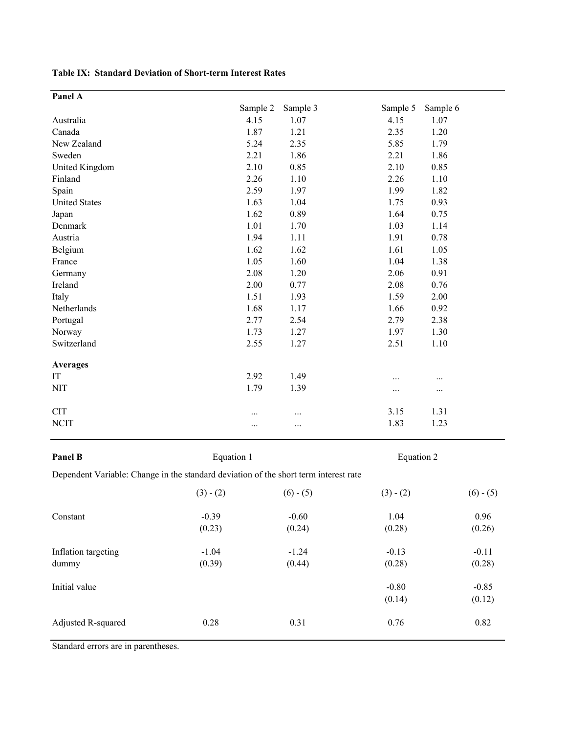## **Table IX: Standard Deviation of Short-term Interest Rates**

| Panel A              |          |          |          |          |
|----------------------|----------|----------|----------|----------|
|                      | Sample 2 | Sample 3 | Sample 5 | Sample 6 |
| Australia            | 4.15     | 1.07     | 4.15     | 1.07     |
| Canada               | 1.87     | 1.21     | 2.35     | 1.20     |
| New Zealand          | 5.24     | 2.35     | 5.85     | 1.79     |
| Sweden               | 2.21     | 1.86     | 2.21     | 1.86     |
| United Kingdom       | 2.10     | 0.85     | 2.10     | 0.85     |
| Finland              | 2.26     | 1.10     | 2.26     | 1.10     |
| Spain                | 2.59     | 1.97     | 1.99     | 1.82     |
| <b>United States</b> | 1.63     | 1.04     | 1.75     | 0.93     |
| Japan                | 1.62     | 0.89     | 1.64     | 0.75     |
| Denmark              | 1.01     | 1.70     | 1.03     | 1.14     |
| Austria              | 1.94     | 1.11     | 1.91     | 0.78     |
| Belgium              | 1.62     | 1.62     | 1.61     | 1.05     |
| France               | 1.05     | 1.60     | 1.04     | 1.38     |
| Germany              | 2.08     | 1.20     | 2.06     | 0.91     |
| Ireland              | 2.00     | 0.77     | 2.08     | 0.76     |
| Italy                | 1.51     | 1.93     | 1.59     | 2.00     |
| Netherlands          | 1.68     | 1.17     | 1.66     | 0.92     |
| Portugal             | 2.77     | 2.54     | 2.79     | 2.38     |
| Norway               | 1.73     | 1.27     | 1.97     | 1.30     |
| Switzerland          | 2.55     | 1.27     | 2.51     | 1.10     |
| <b>Averages</b>      |          |          |          |          |
| IT                   | 2.92     | 1.49     |          |          |
| <b>NIT</b>           | 1.79     | 1.39     |          |          |
| <b>CIT</b>           |          |          | 3.15     | 1.31     |
| <b>NCIT</b>          |          |          | 1.83     | 1.23     |

## **Panel B**

Equation 1 Equation 2

Dependent Variable: Change in the standard deviation of the short term interest rate

|                     | $(3) - (2)$ | $(6) - (5)$ | $(3) - (2)$ | $(6) - (5)$ |
|---------------------|-------------|-------------|-------------|-------------|
| Constant            | $-0.39$     | $-0.60$     | 1.04        | 0.96        |
|                     | (0.23)      | (0.24)      | (0.28)      | (0.26)      |
| Inflation targeting | $-1.04$     | $-1.24$     | $-0.13$     | $-0.11$     |
| dummy               | (0.39)      | (0.44)      | (0.28)      | (0.28)      |
| Initial value       |             |             | $-0.80$     | $-0.85$     |
|                     |             |             | (0.14)      | (0.12)      |
| Adjusted R-squared  | 0.28        | 0.31        | 0.76        | 0.82        |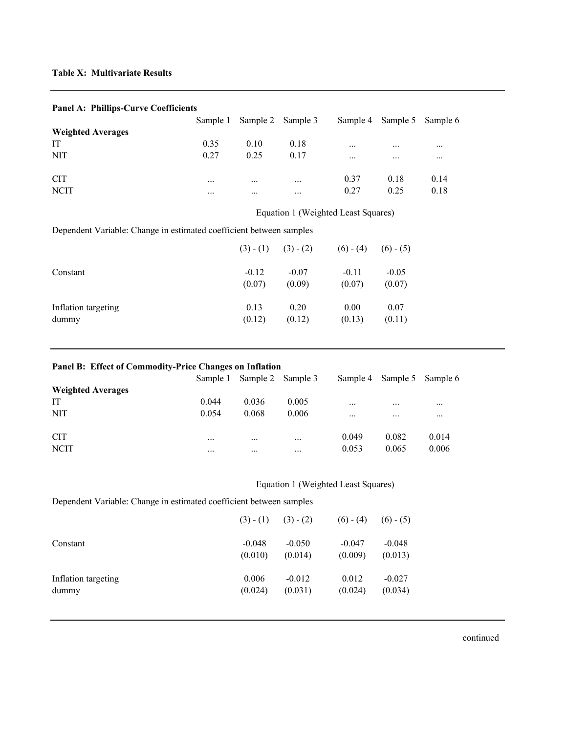## **Table X: Multivariate Results**

Inflation targeting

dummy

| Panel A: Phillips-Curve Coefficients                                |          |             |                                     |             |             |          |
|---------------------------------------------------------------------|----------|-------------|-------------------------------------|-------------|-------------|----------|
|                                                                     | Sample 1 | Sample 2    | Sample 3                            | Sample 4    | Sample 5    | Sample 6 |
| <b>Weighted Averages</b>                                            |          |             |                                     |             |             |          |
| IT                                                                  | 0.35     | 0.10        | 0.18                                |             |             |          |
| <b>NIT</b>                                                          | 0.27     | 0.25        | 0.17                                |             |             |          |
| <b>CIT</b>                                                          |          | .           |                                     | 0.37        | 0.18        | 0.14     |
| <b>NCIT</b>                                                         |          | .           | $\cdots$                            | 0.27        | 0.25        | 0.18     |
|                                                                     |          |             | Equation 1 (Weighted Least Squares) |             |             |          |
| Dependent Variable: Change in estimated coefficient between samples |          |             |                                     |             |             |          |
|                                                                     |          | $(3) - (1)$ | $(3) - (2)$                         | $(6) - (4)$ | $(6) - (5)$ |          |
| Constant                                                            |          | $-0.12$     | $-0.07$                             | $-0.11$     | $-0.05$     |          |
|                                                                     |          | (0.07)      | (0.09)                              | (0.07)      | (0.07)      |          |

## **Panel A: Phillips Curve Coefficients**

#### **Panel B: Effect of Commodity-Price Changes on Inflation**

|                          | Sample 1 |          | Sample 2 Sample 3 |          | Sample 4 Sample 5 Sample 6 |          |
|--------------------------|----------|----------|-------------------|----------|----------------------------|----------|
| <b>Weighted Averages</b> |          |          |                   |          |                            |          |
| IT                       | 0.044    | 0.036    | 0.005             | $\cdots$ | $\cdots$                   | $\cdots$ |
| <b>NIT</b>               | 0.054    | 0.068    | 0.006             | $\cdots$ | $\cdots$                   | $\cdots$ |
| <b>CIT</b>               | $\cdots$ | $\cdots$ | $\cdots$          | 0.049    | 0.082                      | 0.014    |
| <b>NCIT</b>              | $\cdots$ | $\cdots$ | $\cdots$          | 0.053    | 0.065                      | 0.006    |

## Equation 1 (Weighted Least Squares)

0.13 0.20 0.00 0.07  $(0.12)$   $(0.12)$   $(0.13)$   $(0.11)$ 

Dependent Variable: Change in estimated coefficient between samples

|                     |          | $(3) - (1)$ $(3) - (2)$ | $(6) - (4)$ | $(6) - (5)$ |
|---------------------|----------|-------------------------|-------------|-------------|
| Constant            | $-0.048$ | $-0.050$                | $-0.047$    | $-0.048$    |
|                     | (0.010)  | (0.014)                 | (0.009)     | (0.013)     |
| Inflation targeting | 0.006    | $-0.012$                | 0.012       | $-0.027$    |
| dummy               | (0.024)  | (0.031)                 | (0.024)     | (0.034)     |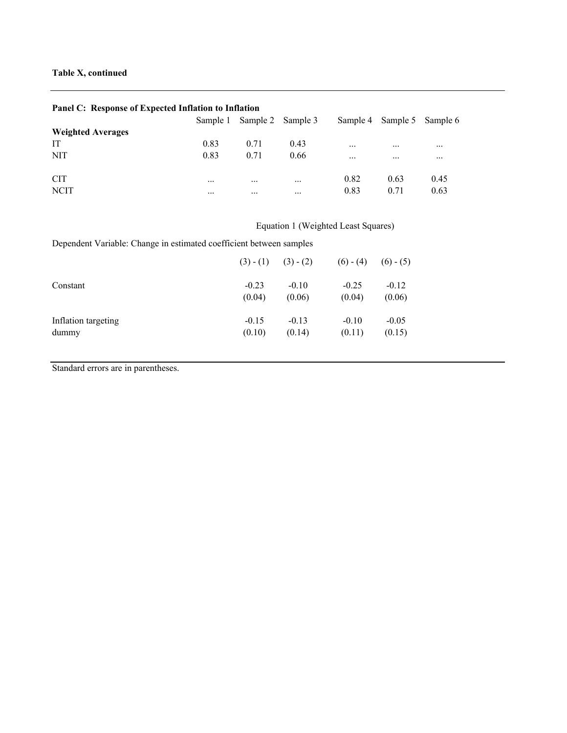## **Panel C: Response of Expected Inflation to Inflation**

|                          | Sample 1 | Sample 2 Sample 3 |          | Sample 4 | Sample 5 Sample 6 |          |
|--------------------------|----------|-------------------|----------|----------|-------------------|----------|
| <b>Weighted Averages</b> |          |                   |          |          |                   |          |
| IT                       | 0.83     | 0.71              | 0.43     | $\cdots$ | $\cdots$          | $\cdots$ |
| <b>NIT</b>               | 0.83     | 0.71              | 0.66     | $\cdots$ | $\cdots$          | $\cdots$ |
| <b>CIT</b>               | $\cdots$ | $\cdots$          | $\cdots$ | 0.82     | 0.63              | 0.45     |
| <b>NCIT</b>              | $\cdots$ | $\cdots$          | $\cdots$ | 0.83     | 0.71              | 0.63     |

# Equation 1 (Weighted Least Squares)

Dependent Variable: Change in estimated coefficient between samples

|                     | $(3) - (1)$ | $(3) - (2)$ | $(6) - (4)$ | $(6) - (5)$ |
|---------------------|-------------|-------------|-------------|-------------|
| Constant            | $-0.23$     | $-0.10$     | $-0.25$     | $-0.12$     |
|                     | (0.04)      | (0.06)      | (0.04)      | (0.06)      |
| Inflation targeting | $-0.15$     | $-0.13$     | $-0.10$     | $-0.05$     |
| dummy               | (0.10)      | (0.14)      | (0.11)      | (0.15)      |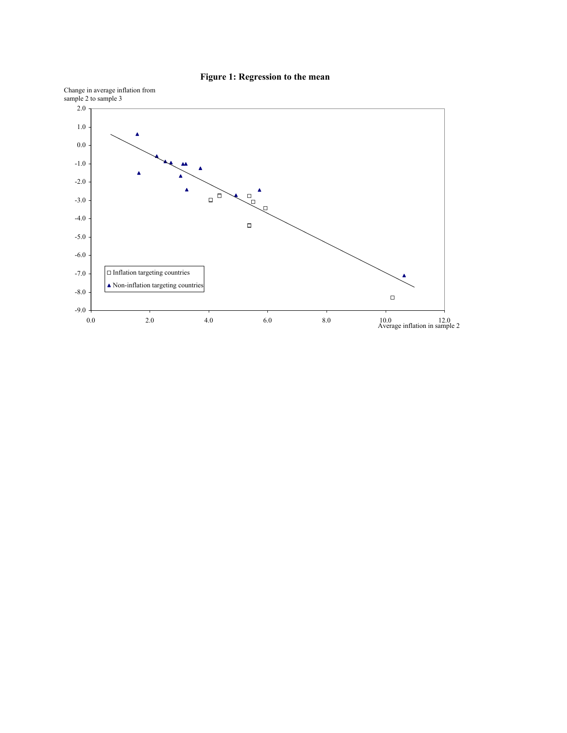

## **Figure 1: Regression to the mean**